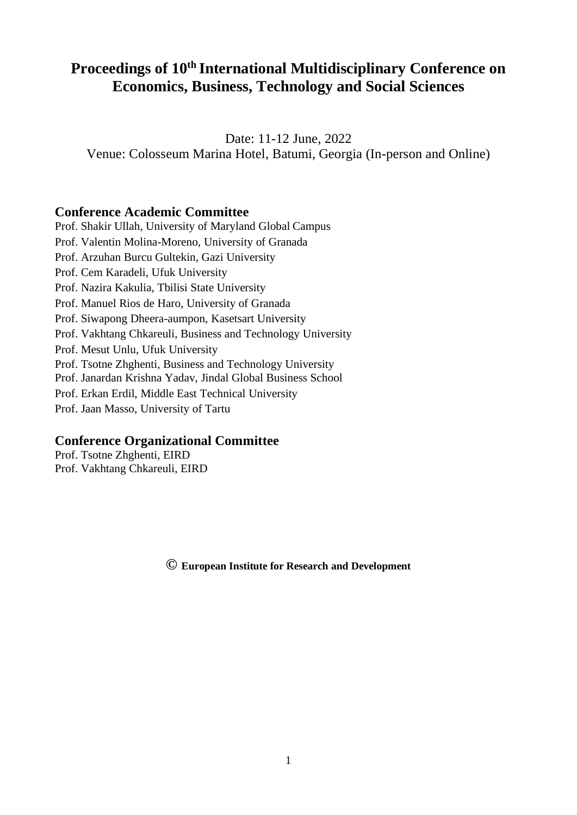# **Proceedings of 10th International Multidisciplinary Conference on Economics, Business, Technology and Social Sciences**

Date: 11-12 June, 2022 Venue: Colosseum Marina Hotel, Batumi, Georgia (In-person and Online)

# **Conference Academic Committee**

Prof. Shakir Ullah, University of Maryland Global Campus Prof. Valentin Molina-Moreno, University of Granada Prof. Arzuhan Burcu Gultekin, Gazi University Prof. Cem Karadeli, Ufuk University Prof. Nazira Kakulia, Tbilisi State University Prof. Manuel Rios de Haro, University of Granada Prof. Siwapong Dheera-aumpon, Kasetsart University Prof. Vakhtang Chkareuli, Business and Technology University Prof. Mesut Unlu, Ufuk University Prof. Tsotne Zhghenti, Business and Technology University Prof. Janardan Krishna Yadav, Jindal Global Business School Prof. Erkan Erdil, Middle East Technical University Prof. Jaan Masso, University of Tartu

# **Conference Organizational Committee**

Prof. Tsotne Zhghenti, EIRD Prof. Vakhtang Chkareuli, EIRD

**© European Institute for Research and Development**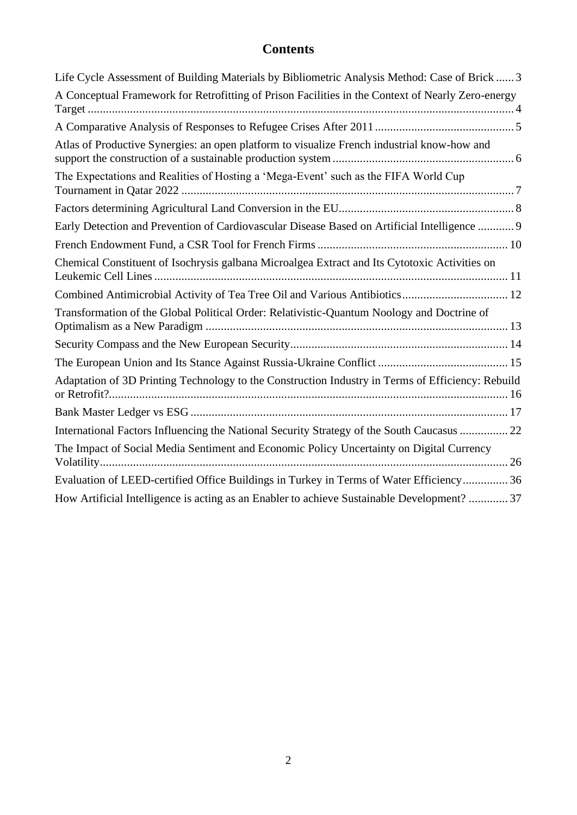# **Contents**

| Life Cycle Assessment of Building Materials by Bibliometric Analysis Method: Case of Brick  3     |
|---------------------------------------------------------------------------------------------------|
| A Conceptual Framework for Retrofitting of Prison Facilities in the Context of Nearly Zero-energy |
|                                                                                                   |
| Atlas of Productive Synergies: an open platform to visualize French industrial know-how and       |
| The Expectations and Realities of Hosting a 'Mega-Event' such as the FIFA World Cup               |
|                                                                                                   |
| Early Detection and Prevention of Cardiovascular Disease Based on Artificial Intelligence  9      |
|                                                                                                   |
| Chemical Constituent of Isochrysis galbana Microalgea Extract and Its Cytotoxic Activities on     |
| Combined Antimicrobial Activity of Tea Tree Oil and Various Antibiotics 12                        |
| Transformation of the Global Political Order: Relativistic-Quantum Noology and Doctrine of        |
|                                                                                                   |
|                                                                                                   |
| Adaptation of 3D Printing Technology to the Construction Industry in Terms of Efficiency: Rebuild |
|                                                                                                   |
| International Factors Influencing the National Security Strategy of the South Caucasus  22        |
| The Impact of Social Media Sentiment and Economic Policy Uncertainty on Digital Currency          |
| Evaluation of LEED-certified Office Buildings in Turkey in Terms of Water Efficiency 36           |
| How Artificial Intelligence is acting as an Enabler to achieve Sustainable Development?  37       |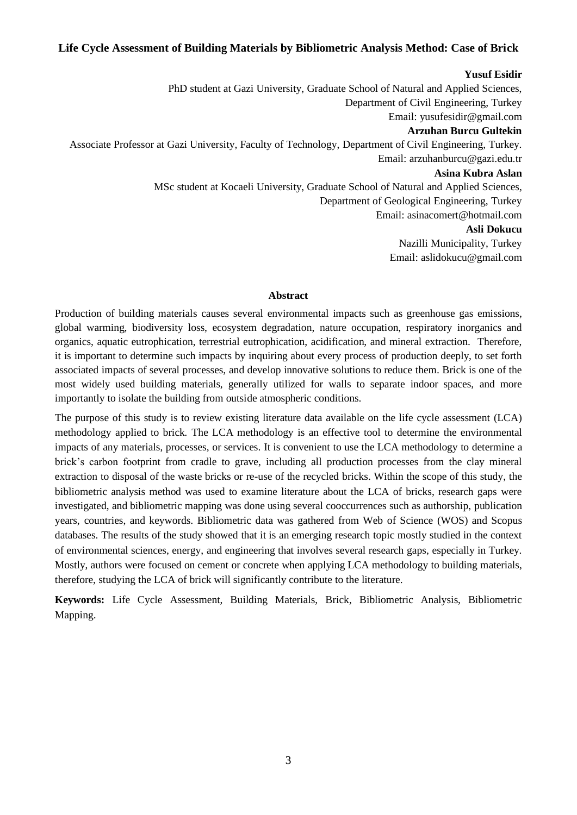# <span id="page-2-0"></span>**Life Cycle Assessment of Building Materials by Bibliometric Analysis Method: Case of Brick**

### **Yusuf Esidir**

PhD student at Gazi University, Graduate School of Natural and Applied Sciences, Department of Civil Engineering, Turkey Email: yusufesidir@gmail.com **Arzuhan Burcu Gultekin**  Associate Professor at Gazi University, Faculty of Technology, Department of Civil Engineering, Turkey. Email: arzuhanburcu@gazi.edu.tr **Asina Kubra Aslan** MSc student at Kocaeli University, Graduate School of Natural and Applied Sciences, Department of Geological Engineering, Turkey Email: asinacomert@hotmail.com **Asli Dokucu** Nazilli Municipality, Turkey Email: aslidokucu@gmail.com

### **Abstract**

Production of building materials causes several environmental impacts such as greenhouse gas emissions, global warming, biodiversity loss, ecosystem degradation, nature occupation, respiratory inorganics and organics, aquatic eutrophication, terrestrial eutrophication, acidification, and mineral extraction. Therefore, it is important to determine such impacts by inquiring about every process of production deeply, to set forth associated impacts of several processes, and develop innovative solutions to reduce them. Brick is one of the most widely used building materials, generally utilized for walls to separate indoor spaces, and more importantly to isolate the building from outside atmospheric conditions.

The purpose of this study is to review existing literature data available on the life cycle assessment (LCA) methodology applied to brick. The LCA methodology is an effective tool to determine the environmental impacts of any materials, processes, or services. It is convenient to use the LCA methodology to determine a brick's carbon footprint from cradle to grave, including all production processes from the clay mineral extraction to disposal of the waste bricks or re-use of the recycled bricks. Within the scope of this study, the bibliometric analysis method was used to examine literature about the LCA of bricks, research gaps were investigated, and bibliometric mapping was done using several cooccurrences such as authorship, publication years, countries, and keywords. Bibliometric data was gathered from Web of Science (WOS) and Scopus databases. The results of the study showed that it is an emerging research topic mostly studied in the context of environmental sciences, energy, and engineering that involves several research gaps, especially in Turkey. Mostly, authors were focused on cement or concrete when applying LCA methodology to building materials, therefore, studying the LCA of brick will significantly contribute to the literature.

**Keywords:** Life Cycle Assessment, Building Materials, Brick, Bibliometric Analysis, Bibliometric Mapping.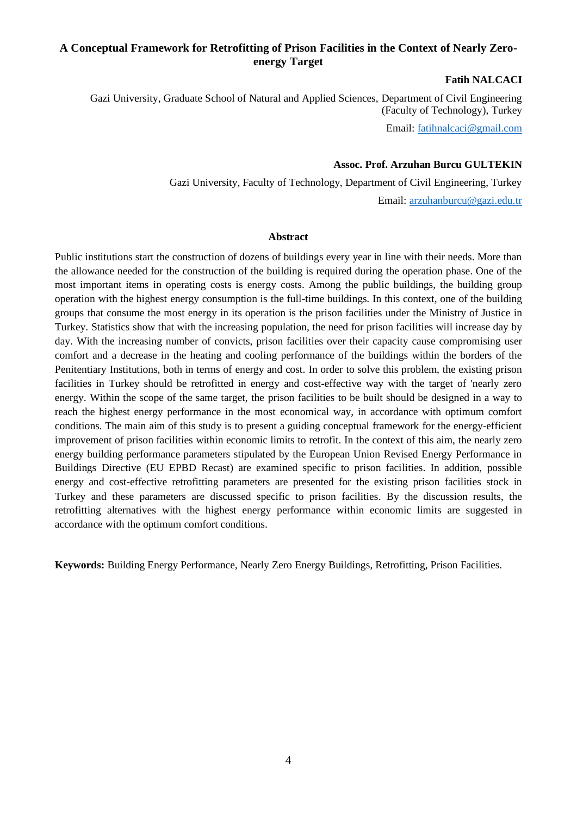# <span id="page-3-0"></span>**A Conceptual Framework for Retrofitting of Prison Facilities in the Context of Nearly Zeroenergy Target**

### **Fatih NALCACI**

Gazi University, Graduate School of Natural and Applied Sciences, Department of Civil Engineering (Faculty of Technology), Turkey

Email[: fatihnalcaci@gmail.com](mailto:fatihnalcaci@gmail.com)

### **Assoc. Prof. Arzuhan Burcu GULTEKIN**

Gazi University, Faculty of Technology, Department of Civil Engineering, Turkey

Email: [arzuhanburcu@gazi.edu.tr](mailto:arzuhanburcu@gazi.edu.tr)

#### **Abstract**

Public institutions start the construction of dozens of buildings every year in line with their needs. More than the allowance needed for the construction of the building is required during the operation phase. One of the most important items in operating costs is energy costs. Among the public buildings, the building group operation with the highest energy consumption is the full-time buildings. In this context, one of the building groups that consume the most energy in its operation is the prison facilities under the Ministry of Justice in Turkey. Statistics show that with the increasing population, the need for prison facilities will increase day by day. With the increasing number of convicts, prison facilities over their capacity cause compromising user comfort and a decrease in the heating and cooling performance of the buildings within the borders of the Penitentiary Institutions, both in terms of energy and cost. In order to solve this problem, the existing prison facilities in Turkey should be retrofitted in energy and cost-effective way with the target of 'nearly zero energy. Within the scope of the same target, the prison facilities to be built should be designed in a way to reach the highest energy performance in the most economical way, in accordance with optimum comfort conditions. The main aim of this study is to present a guiding conceptual framework for the energy-efficient improvement of prison facilities within economic limits to retrofit. In the context of this aim, the nearly zero energy building performance parameters stipulated by the European Union Revised Energy Performance in Buildings Directive (EU EPBD Recast) are examined specific to prison facilities. In addition, possible energy and cost-effective retrofitting parameters are presented for the existing prison facilities stock in Turkey and these parameters are discussed specific to prison facilities. By the discussion results, the retrofitting alternatives with the highest energy performance within economic limits are suggested in accordance with the optimum comfort conditions.

**Keywords:** Building Energy Performance, Nearly Zero Energy Buildings, Retrofitting, Prison Facilities.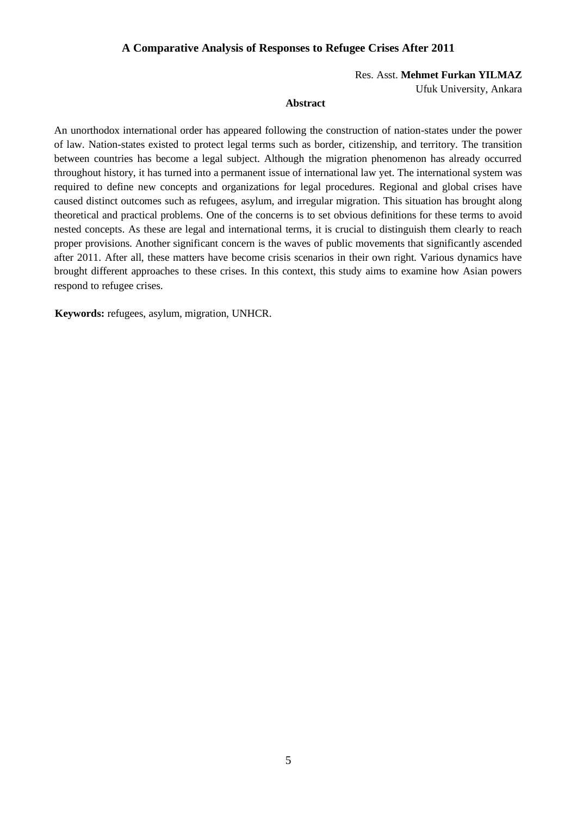# <span id="page-4-0"></span>**A Comparative Analysis of Responses to Refugee Crises After 2011**

Res. Asst. **Mehmet Furkan YILMAZ**

Ufuk University, Ankara

#### **Abstract**

An unorthodox international order has appeared following the construction of nation-states under the power of law. Nation-states existed to protect legal terms such as border, citizenship, and territory. The transition between countries has become a legal subject. Although the migration phenomenon has already occurred throughout history, it has turned into a permanent issue of international law yet. The international system was required to define new concepts and organizations for legal procedures. Regional and global crises have caused distinct outcomes such as refugees, asylum, and irregular migration. This situation has brought along theoretical and practical problems. One of the concerns is to set obvious definitions for these terms to avoid nested concepts. As these are legal and international terms, it is crucial to distinguish them clearly to reach proper provisions. Another significant concern is the waves of public movements that significantly ascended after 2011. After all, these matters have become crisis scenarios in their own right. Various dynamics have brought different approaches to these crises. In this context, this study aims to examine how Asian powers respond to refugee crises.

**Keywords:** refugees, asylum, migration, UNHCR.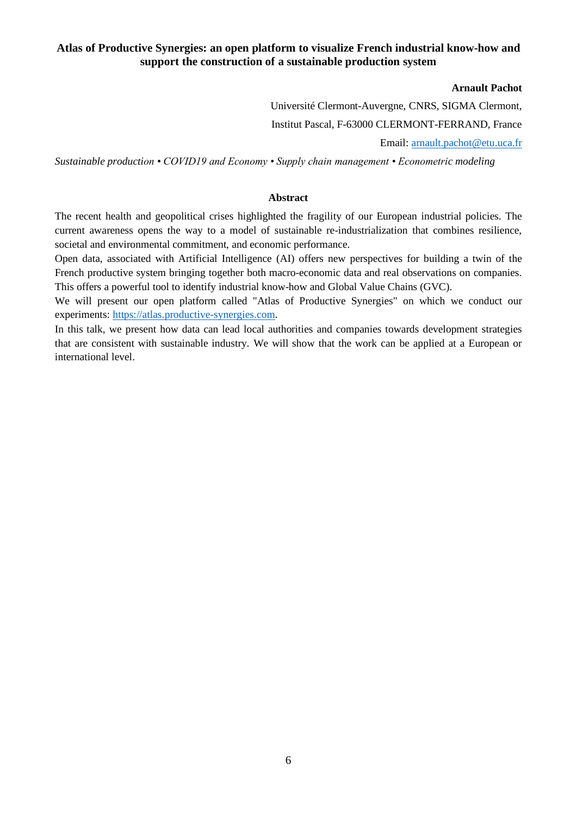# <span id="page-5-0"></span>**Atlas of Productive Synergies: an open platform to visualize French industrial know-how and support the construction of a sustainable production system**

### **Arnault Pachot**

Université Clermont-Auvergne, CNRS, SIGMA Clermont, Institut Pascal, F-63000 CLERMONT-FERRAND, France Email: [arnault.pachot@etu.uca.fr](mailto:arnault.pachot@etu.uca.fr)

*Sustainable production • COVID19 and Economy • Supply chain management • Econometric modeling*

#### **Abstract**

The recent health and geopolitical crises highlighted the fragility of our European industrial policies. The current awareness opens the way to a model of sustainable re-industrialization that combines resilience, societal and environmental commitment, and economic performance.

Open data, associated with Artificial Intelligence (AI) offers new perspectives for building a twin of the French productive system bringing together both macro-economic data and real observations on companies. This offers a powerful tool to identify industrial know-how and Global Value Chains (GVC).

We will present our open platform called "Atlas of Productive Synergies" on which we conduct our experiments: [https://atlas.productive-synergies.com.](https://atlas.productive-synergies.com/)

In this talk, we present how data can lead local authorities and companies towards development strategies that are consistent with sustainable industry. We will show that the work can be applied at a European or international level.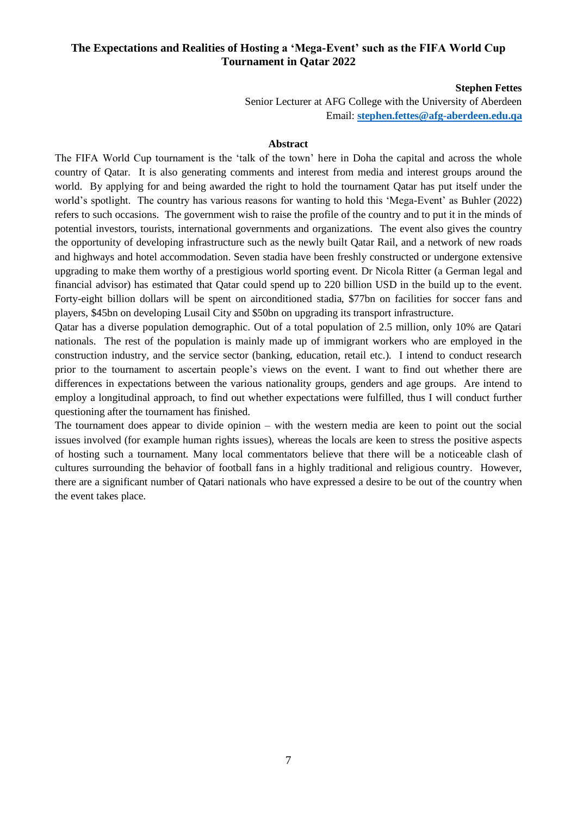# <span id="page-6-0"></span>**The Expectations and Realities of Hosting a 'Mega-Event' such as the FIFA World Cup Tournament in Qatar 2022**

#### **Stephen Fettes**

Senior Lecturer at AFG College with the University of Aberdeen Email: **[stephen.fettes@afg-aberdeen.edu.qa](mailto:stephen.fettes@afg-aberdeen.edu.qa)**

#### **Abstract**

The FIFA World Cup tournament is the 'talk of the town' here in Doha the capital and across the whole country of Qatar. It is also generating comments and interest from media and interest groups around the world. By applying for and being awarded the right to hold the tournament Qatar has put itself under the world's spotlight. The country has various reasons for wanting to hold this 'Mega-Event' as Buhler (2022) refers to such occasions. The government wish to raise the profile of the country and to put it in the minds of potential investors, tourists, international governments and organizations. The event also gives the country the opportunity of developing infrastructure such as the newly built Qatar Rail, and a network of new roads and highways and hotel accommodation. Seven stadia have been freshly constructed or undergone extensive upgrading to make them worthy of a prestigious world sporting event. Dr Nicola Ritter (a German legal and financial advisor) has estimated that Qatar could spend up to 220 billion USD in the build up to the event. Forty-eight billion dollars will be spent on airconditioned stadia, \$77bn on facilities for soccer fans and players, \$45bn on developing Lusail City and \$50bn on upgrading its transport infrastructure.

Qatar has a diverse population demographic. Out of a total population of 2.5 million, only 10% are Qatari nationals. The rest of the population is mainly made up of immigrant workers who are employed in the construction industry, and the service sector (banking, education, retail etc.). I intend to conduct research prior to the tournament to ascertain people's views on the event. I want to find out whether there are differences in expectations between the various nationality groups, genders and age groups. Are intend to employ a longitudinal approach, to find out whether expectations were fulfilled, thus I will conduct further questioning after the tournament has finished.

The tournament does appear to divide opinion – with the western media are keen to point out the social issues involved (for example human rights issues), whereas the locals are keen to stress the positive aspects of hosting such a tournament. Many local commentators believe that there will be a noticeable clash of cultures surrounding the behavior of football fans in a highly traditional and religious country. However, there are a significant number of Qatari nationals who have expressed a desire to be out of the country when the event takes place.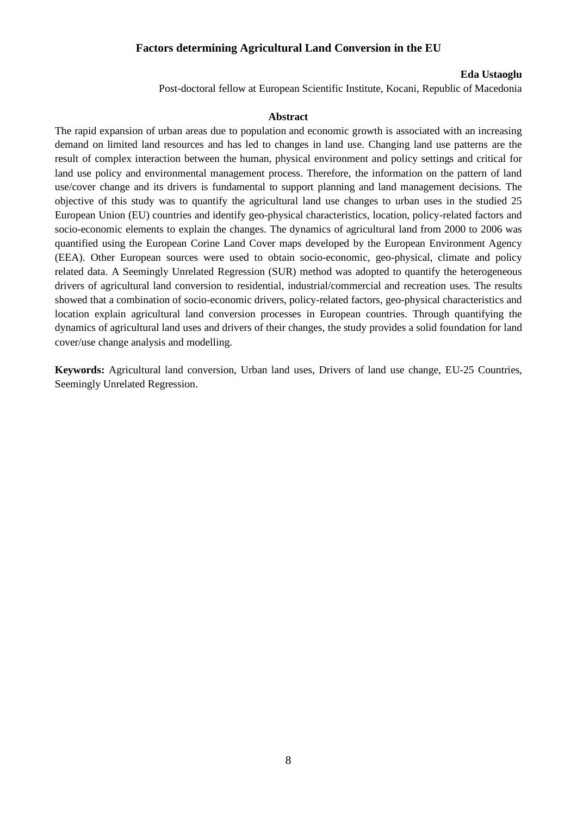# <span id="page-7-0"></span>**Factors determining Agricultural Land Conversion in the EU**

#### **Eda Ustaoglu**

Post-doctoral fellow at European Scientific Institute, Kocani, Republic of Macedonia

#### **Abstract**

The rapid expansion of urban areas due to population and economic growth is associated with an increasing demand on limited land resources and has led to changes in land use. Changing land use patterns are the result of complex interaction between the human, physical environment and policy settings and critical for land use policy and environmental management process. Therefore, the information on the pattern of land use/cover change and its drivers is fundamental to support planning and land management decisions. The objective of this study was to quantify the agricultural land use changes to urban uses in the studied 25 European Union (EU) countries and identify geo-physical characteristics, location, policy-related factors and socio-economic elements to explain the changes. The dynamics of agricultural land from 2000 to 2006 was quantified using the European Corine Land Cover maps developed by the European Environment Agency (EEA). Other European sources were used to obtain socio-economic, geo-physical, climate and policy related data. A Seemingly Unrelated Regression (SUR) method was adopted to quantify the heterogeneous drivers of agricultural land conversion to residential, industrial/commercial and recreation uses. The results showed that a combination of socio-economic drivers, policy-related factors, geo-physical characteristics and location explain agricultural land conversion processes in European countries. Through quantifying the dynamics of agricultural land uses and drivers of their changes, the study provides a solid foundation for land cover/use change analysis and modelling.

**Keywords:** Agricultural land conversion, Urban land uses, Drivers of land use change, EU-25 Countries, Seemingly Unrelated Regression.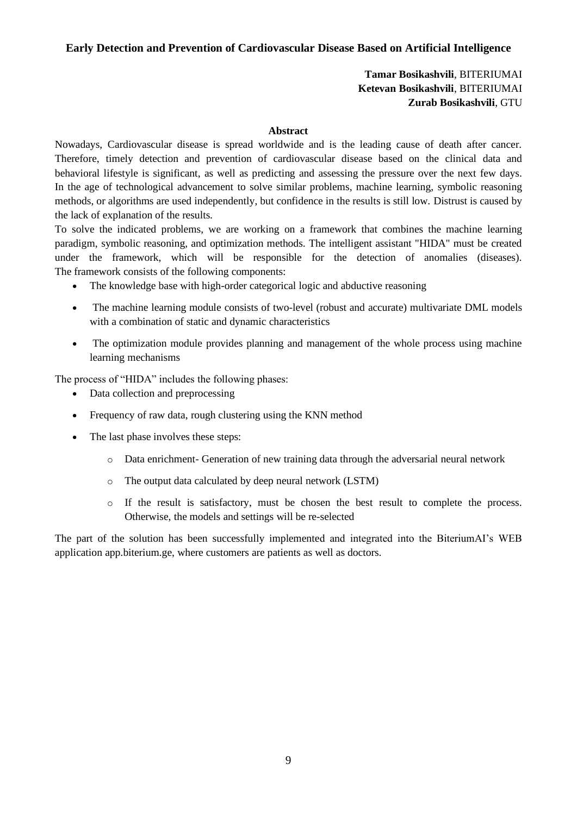# <span id="page-8-0"></span>**Early Detection and Prevention of Cardiovascular Disease Based on Artificial Intelligence**

# **Tamar Bosikashvili**, BITERIUMAI **Ketevan Bosikashvili**, BITERIUMAI **Zurab Bosikashvili**, GTU

### **Abstract**

Nowadays, Cardiovascular disease is spread worldwide and is the leading cause of death after cancer. Therefore, timely detection and prevention of cardiovascular disease based on the clinical data and behavioral lifestyle is significant, as well as predicting and assessing the pressure over the next few days. In the age of technological advancement to solve similar problems, machine learning, symbolic reasoning methods, or algorithms are used independently, but confidence in the results is still low. Distrust is caused by the lack of explanation of the results.

To solve the indicated problems, we are working on a framework that combines the machine learning paradigm, symbolic reasoning, and optimization methods. The intelligent assistant "HIDA" must be created under the framework, which will be responsible for the detection of anomalies (diseases). The framework consists of the following components:

- The knowledge base with high-order categorical logic and abductive reasoning
- The machine learning module consists of two-level (robust and accurate) multivariate DML models with a combination of static and dynamic characteristics
- The optimization module provides planning and management of the whole process using machine learning mechanisms

The process of "HIDA" includes the following phases:

- Data collection and preprocessing
- Frequency of raw data, rough clustering using the KNN method
- The last phase involves these steps:
	- o Data enrichment- Generation of new training data through the adversarial neural network
	- o The output data calculated by deep neural network (LSTM)
	- o If the result is satisfactory, must be chosen the best result to complete the process. Otherwise, the models and settings will be re-selected

The part of the solution has been successfully implemented and integrated into the BiteriumAI's WEB application app.biterium.ge, where customers are patients as well as doctors.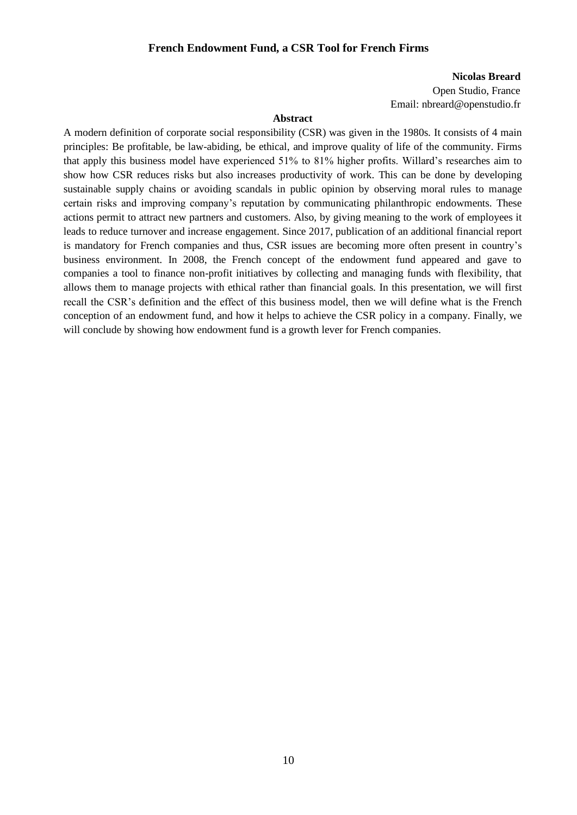### **French Endowment Fund, a CSR Tool for French Firms**

#### **Nicolas Breard**

Open Studio, France Email: nbreard@openstudio.fr

# **Abstract**

<span id="page-9-0"></span>A modern definition of corporate social responsibility (CSR) was given in the 1980s. It consists of 4 main principles: Be profitable, be law-abiding, be ethical, and improve quality of life of the community. Firms that apply this business model have experienced 51% to 81% higher profits. Willard's researches aim to show how CSR reduces risks but also increases productivity of work. This can be done by developing sustainable supply chains or avoiding scandals in public opinion by observing moral rules to manage certain risks and improving company's reputation by communicating philanthropic endowments. These actions permit to attract new partners and customers. Also, by giving meaning to the work of employees it leads to reduce turnover and increase engagement. Since 2017, publication of an additional financial report is mandatory for French companies and thus, CSR issues are becoming more often present in country's business environment. In 2008, the French concept of the endowment fund appeared and gave to companies a tool to finance non-profit initiatives by collecting and managing funds with flexibility, that allows them to manage projects with ethical rather than financial goals. In this presentation, we will first recall the CSR's definition and the effect of this business model, then we will define what is the French conception of an endowment fund, and how it helps to achieve the CSR policy in a company. Finally, we will conclude by showing how endowment fund is a growth lever for French companies.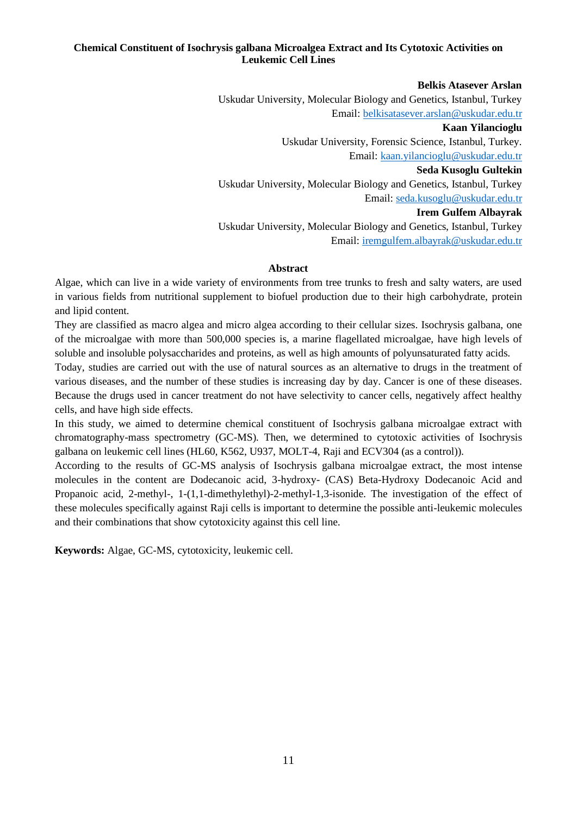# <span id="page-10-0"></span>**Chemical Constituent of Isochrysis galbana Microalgea Extract and Its Cytotoxic Activities on Leukemic Cell Lines**

### **Belkis Atasever Arslan**

Uskudar University, Molecular Biology and Genetics, Istanbul, Turkey Email: [belkisatasever.arslan@uskudar.edu.tr](mailto:belkisatasever.arslan@uskudar.edu.tr) **Kaan Yilancioglu** Uskudar University, Forensic Science, Istanbul, Turkey. Email: [kaan.yilancioglu@uskudar.edu.tr](mailto:Kaan.yilancioglu@uskudar.edu.tr) **Seda Kusoglu Gultekin** Uskudar University, Molecular Biology and Genetics, Istanbul, Turkey Email: [seda.kusoglu@uskudar.edu.tr](mailto:seda.kusoglu@uskudar.edu.tr) **Irem Gulfem Albayrak** Uskudar University, Molecular Biology and Genetics, Istanbul, Turkey Email[: iremgulfem.albayrak@uskudar.edu.tr](mailto:Iremgulfem.albayrak@uskudar.edu.tr)

#### **Abstract**

Algae, which can live in a wide variety of environments from tree trunks to fresh and salty waters, are used in various fields from nutritional supplement to biofuel production due to their high carbohydrate, protein and lipid content.

They are classified as macro algea and micro algea according to their cellular sizes. Isochrysis galbana, one of the microalgae with more than 500,000 species is, a marine flagellated microalgae, have high levels of soluble and insoluble polysaccharides and proteins, as well as high amounts of polyunsaturated fatty acids.

Today, studies are carried out with the use of natural sources as an alternative to drugs in the treatment of various diseases, and the number of these studies is increasing day by day. Cancer is one of these diseases. Because the drugs used in cancer treatment do not have selectivity to cancer cells, negatively affect healthy cells, and have high side effects.

In this study, we aimed to determine chemical constituent of Isochrysis galbana microalgae extract with chromatography-mass spectrometry (GC-MS). Then, we determined to cytotoxic activities of Isochrysis galbana on leukemic cell lines (HL60, K562, U937, MOLT-4, Raji and ECV304 (as a control)).

According to the results of GC-MS analysis of Isochrysis galbana microalgae extract, the most intense molecules in the content are Dodecanoic acid, 3-hydroxy- (CAS) Beta-Hydroxy Dodecanoic Acid and Propanoic acid, 2-methyl-, 1-(1,1-dimethylethyl)-2-methyl-1,3-isonide. The investigation of the effect of these molecules specifically against Raji cells is important to determine the possible anti-leukemic molecules and their combinations that show cytotoxicity against this cell line.

**Keywords:** Algae, GC-MS, cytotoxicity, leukemic cell.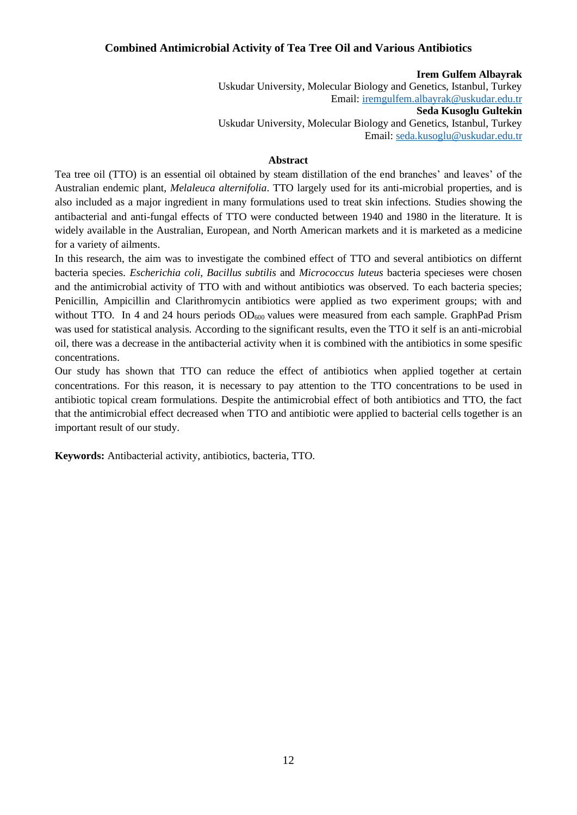# <span id="page-11-0"></span>**Combined Antimicrobial Activity of Tea Tree Oil and Various Antibiotics**

**Irem Gulfem Albayrak** Uskudar University, Molecular Biology and Genetics, Istanbul, Turkey Email[: iremgulfem.albayrak@uskudar.edu.tr](mailto:Iremgulfem.albayrak@uskudar.edu.tr) **Seda Kusoglu Gultekin** Uskudar University, Molecular Biology and Genetics, Istanbul, Turkey Email: [seda.kusoglu@uskudar.edu.tr](mailto:seda.kusoglu@uskudar.edu.tr)

#### **Abstract**

Tea tree oil (TTO) is an essential oil obtained by steam distillation of the end branches' and leaves' of the Australian endemic plant, *Melaleuca alternifolia*. TTO largely used for its anti-microbial properties, and is also included as a major ingredient in many formulations used to treat skin infections. Studies showing the antibacterial and anti-fungal effects of TTO were conducted between 1940 and 1980 in the literature. It is widely available in the Australian, European, and North American markets and it is marketed as a medicine for a variety of ailments.

In this research, the aim was to investigate the combined effect of TTO and several antibiotics on differnt bacteria species. *Escherichia coli*, *Bacillus subtilis* and *Micrococcus luteus* bacteria specieses were chosen and the antimicrobial activity of TTO with and without antibiotics was observed. To each bacteria species; Penicillin, Ampicillin and Clarithromycin antibiotics were applied as two experiment groups; with and without TTO. In 4 and 24 hours periods  $OD_{600}$  values were measured from each sample. GraphPad Prism was used for statistical analysis. According to the significant results, even the TTO it self is an anti-microbial oil, there was a decrease in the antibacterial activity when it is combined with the antibiotics in some spesific concentrations.

Our study has shown that TTO can reduce the effect of antibiotics when applied together at certain concentrations. For this reason, it is necessary to pay attention to the TTO concentrations to be used in antibiotic topical cream formulations. Despite the antimicrobial effect of both antibiotics and TTO, the fact that the antimicrobial effect decreased when TTO and antibiotic were applied to bacterial cells together is an important result of our study.

**Keywords:** Antibacterial activity, antibiotics, bacteria, TTO.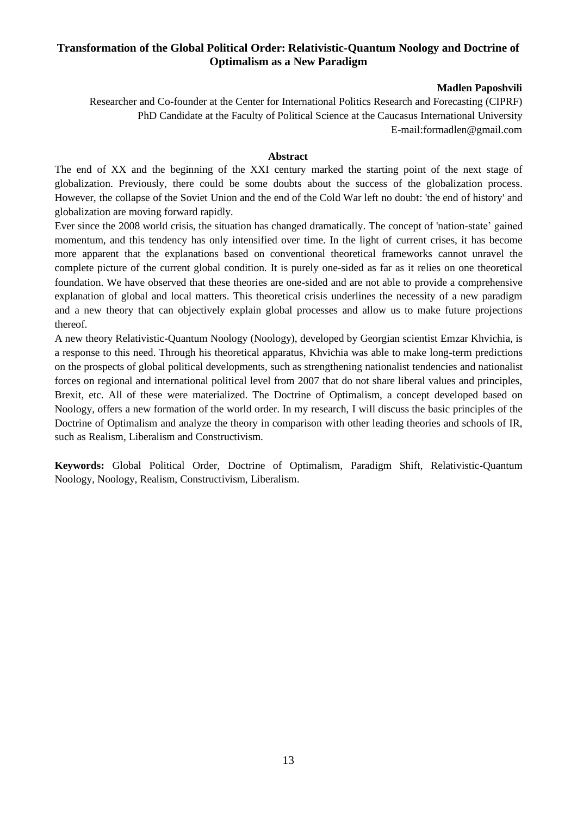# <span id="page-12-0"></span>**Transformation of the Global Political Order: Relativistic-Quantum Noology and Doctrine of Optimalism as a New Paradigm**

### **Madlen Paposhvili**

Researcher and Co-founder at the Center for International Politics Research and Forecasting (CIPRF) PhD Candidate at the Faculty of Political Science at the Caucasus International University E-mail:formadlen@gmail.com

### **Abstract**

The end of XX and the beginning of the XXI century marked the starting point of the next stage of globalization. Previously, there could be some doubts about the success of the globalization process. However, the collapse of the Soviet Union and the end of the Cold War left no doubt: 'the end of history' and globalization are moving forward rapidly.

Ever since the 2008 world crisis, the situation has changed dramatically. The concept of 'nation-state' gained momentum, and this tendency has only intensified over time. In the light of current crises, it has become more apparent that the explanations based on conventional theoretical frameworks cannot unravel the complete picture of the current global condition. It is purely one-sided as far as it relies on one theoretical foundation. We have observed that these theories are one-sided and are not able to provide a comprehensive explanation of global and local matters. This theoretical crisis underlines the necessity of a new paradigm and a new theory that can objectively explain global processes and allow us to make future projections thereof.

A new theory Relativistic-Quantum Noology (Noology), developed by Georgian scientist Emzar Khvichia, is a response to this need. Through his theoretical apparatus, Khvichia was able to make long-term predictions on the prospects of global political developments, such as strengthening nationalist tendencies and nationalist forces on regional and international political level from 2007 that do not share liberal values and principles, Brexit, etc. All of these were materialized. The Doctrine of Optimalism, a concept developed based on Noology, offers a new formation of the world order. In my research, I will discuss the basic principles of the Doctrine of Optimalism and analyze the theory in comparison with other leading theories and schools of IR, such as Realism, Liberalism and Constructivism.

**Keywords:** Global Political Order, Doctrine of Optimalism, Paradigm Shift, Relativistic-Quantum Noology, Noology, Realism, Constructivism, Liberalism.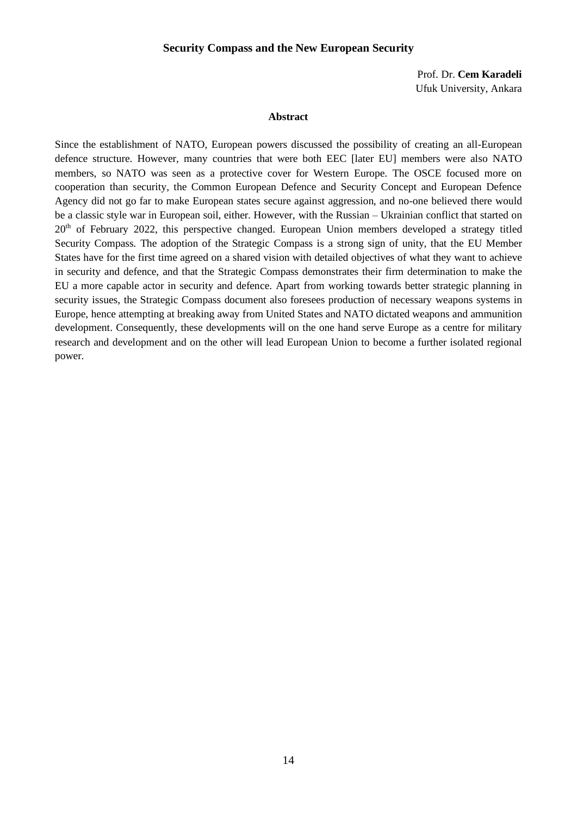### **Security Compass and the New European Security**

Prof. Dr. **Cem Karadeli** Ufuk University, Ankara

#### **Abstract**

<span id="page-13-0"></span>Since the establishment of NATO, European powers discussed the possibility of creating an all-European defence structure. However, many countries that were both EEC [later EU] members were also NATO members, so NATO was seen as a protective cover for Western Europe. The OSCE focused more on cooperation than security, the Common European Defence and Security Concept and European Defence Agency did not go far to make European states secure against aggression, and no-one believed there would be a classic style war in European soil, either. However, with the Russian – Ukrainian conflict that started on  $20<sup>th</sup>$  of February 2022, this perspective changed. European Union members developed a strategy titled Security Compass. The adoption of the Strategic Compass is a strong sign of unity, that the EU Member States have for the first time agreed on a shared vision with detailed objectives of what they want to achieve in security and defence, and that the Strategic Compass demonstrates their firm determination to make the EU a more capable actor in security and defence. Apart from working towards better strategic planning in security issues, the Strategic Compass document also foresees production of necessary weapons systems in Europe, hence attempting at breaking away from United States and NATO dictated weapons and ammunition development. Consequently, these developments will on the one hand serve Europe as a centre for military research and development and on the other will lead European Union to become a further isolated regional power.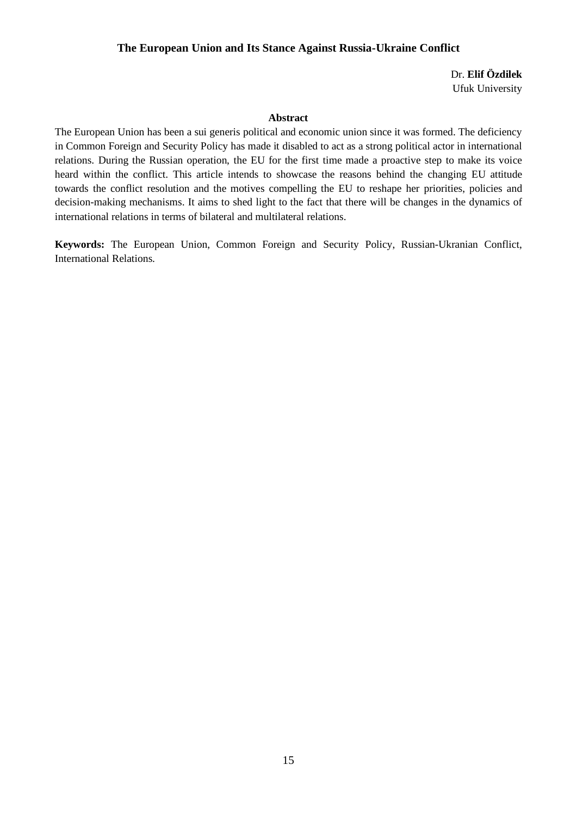# <span id="page-14-0"></span>**The European Union and Its Stance Against Russia-Ukraine Conflict**

 Dr. **Elif Özdilek** Ufuk University

### **Abstract**

The European Union has been a sui generis political and economic union since it was formed. The deficiency in Common Foreign and Security Policy has made it disabled to act as a strong political actor in international relations. During the Russian operation, the EU for the first time made a proactive step to make its voice heard within the conflict. This article intends to showcase the reasons behind the changing EU attitude towards the conflict resolution and the motives compelling the EU to reshape her priorities, policies and decision-making mechanisms. It aims to shed light to the fact that there will be changes in the dynamics of international relations in terms of bilateral and multilateral relations.

**Keywords:** The European Union, Common Foreign and Security Policy, Russian-Ukranian Conflict, International Relations.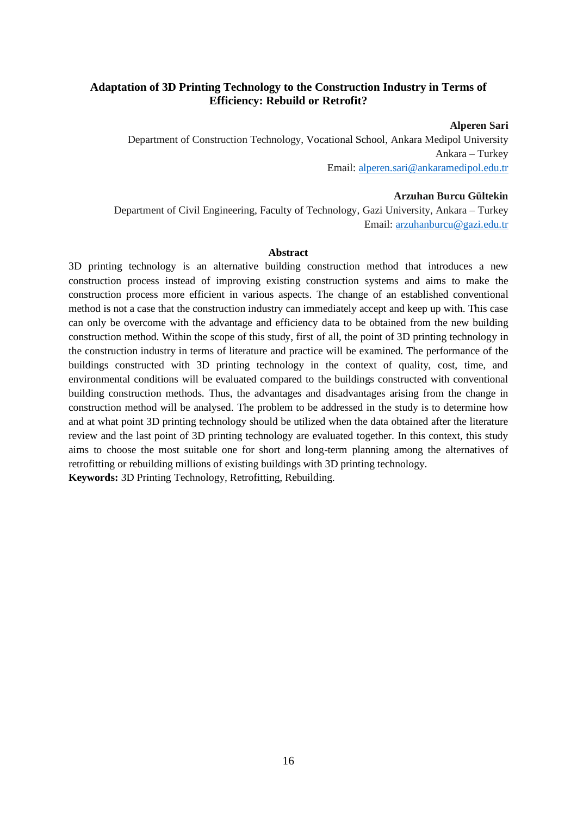# <span id="page-15-0"></span>**Adaptation of 3D Printing Technology to the Construction Industry in Terms of Efficiency: Rebuild or Retrofit?**

**Alperen Sari**

Department of Construction Technology, Vocational School, Ankara Medipol University Ankara – Turkey Email: [alperen.sari@ankaramedipol.edu.tr](mailto:alperen.sari@ankaramedipol.edu.tr)

#### **Arzuhan Burcu Gültekin**

Department of Civil Engineering, Faculty of Technology, Gazi University, Ankara – Turkey Email: [arzuhanburcu@gazi.edu.tr](mailto:arzuhanburcu@gazi.edu.tr)

#### **Abstract**

3D printing technology is an alternative building construction method that introduces a new construction process instead of improving existing construction systems and aims to make the construction process more efficient in various aspects. The change of an established conventional method is not a case that the construction industry can immediately accept and keep up with. This case can only be overcome with the advantage and efficiency data to be obtained from the new building construction method. Within the scope of this study, first of all, the point of 3D printing technology in the construction industry in terms of literature and practice will be examined. The performance of the buildings constructed with 3D printing technology in the context of quality, cost, time, and environmental conditions will be evaluated compared to the buildings constructed with conventional building construction methods. Thus, the advantages and disadvantages arising from the change in construction method will be analysed. The problem to be addressed in the study is to determine how and at what point 3D printing technology should be utilized when the data obtained after the literature review and the last point of 3D printing technology are evaluated together. In this context, this study aims to choose the most suitable one for short and long-term planning among the alternatives of retrofitting or rebuilding millions of existing buildings with 3D printing technology. **Keywords:** 3D Printing Technology, Retrofitting, Rebuilding.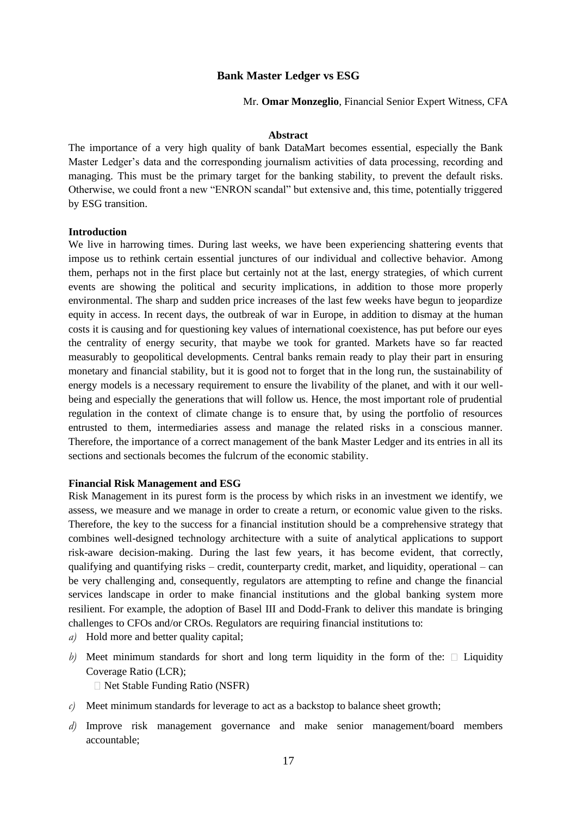### **Bank Master Ledger vs ESG**

Mr. **Omar Monzeglio**, Financial Senior Expert Witness, CFA

#### **Abstract**

<span id="page-16-0"></span>The importance of a very high quality of bank DataMart becomes essential, especially the Bank Master Ledger's data and the corresponding journalism activities of data processing, recording and managing. This must be the primary target for the banking stability, to prevent the default risks. Otherwise, we could front a new "ENRON scandal" but extensive and, this time, potentially triggered by ESG transition.

#### **Introduction**

We live in harrowing times. During last weeks, we have been experiencing shattering events that impose us to rethink certain essential junctures of our individual and collective behavior. Among them, perhaps not in the first place but certainly not at the last, energy strategies, of which current events are showing the political and security implications, in addition to those more properly environmental. The sharp and sudden price increases of the last few weeks have begun to jeopardize equity in access. In recent days, the outbreak of war in Europe, in addition to dismay at the human costs it is causing and for questioning key values of international coexistence, has put before our eyes the centrality of energy security, that maybe we took for granted. Markets have so far reacted measurably to geopolitical developments. Central banks remain ready to play their part in ensuring monetary and financial stability, but it is good not to forget that in the long run, the sustainability of energy models is a necessary requirement to ensure the livability of the planet, and with it our wellbeing and especially the generations that will follow us. Hence, the most important role of prudential regulation in the context of climate change is to ensure that, by using the portfolio of resources entrusted to them, intermediaries assess and manage the related risks in a conscious manner. Therefore, the importance of a correct management of the bank Master Ledger and its entries in all its sections and sectionals becomes the fulcrum of the economic stability.

#### **Financial Risk Management and ESG**

Risk Management in its purest form is the process by which risks in an investment we identify, we assess, we measure and we manage in order to create a return, or economic value given to the risks. Therefore, the key to the success for a financial institution should be a comprehensive strategy that combines well-designed technology architecture with a suite of analytical applications to support risk-aware decision-making. During the last few years, it has become evident, that correctly, qualifying and quantifying risks – credit, counterparty credit, market, and liquidity, operational – can be very challenging and, consequently, regulators are attempting to refine and change the financial services landscape in order to make financial institutions and the global banking system more resilient. For example, the adoption of Basel III and Dodd-Frank to deliver this mandate is bringing challenges to CFOs and/or CROs. Regulators are requiring financial institutions to:

- *a)* Hold more and better quality capital;
- *b*) Meet minimum standards for short and long term liquidity in the form of the:  $\Box$  Liquidity Coverage Ratio (LCR);

□ Net Stable Funding Ratio (NSFR)

- *c*) Meet minimum standards for leverage to act as a backstop to balance sheet growth;
- *d)* Improve risk management governance and make senior management/board members accountable;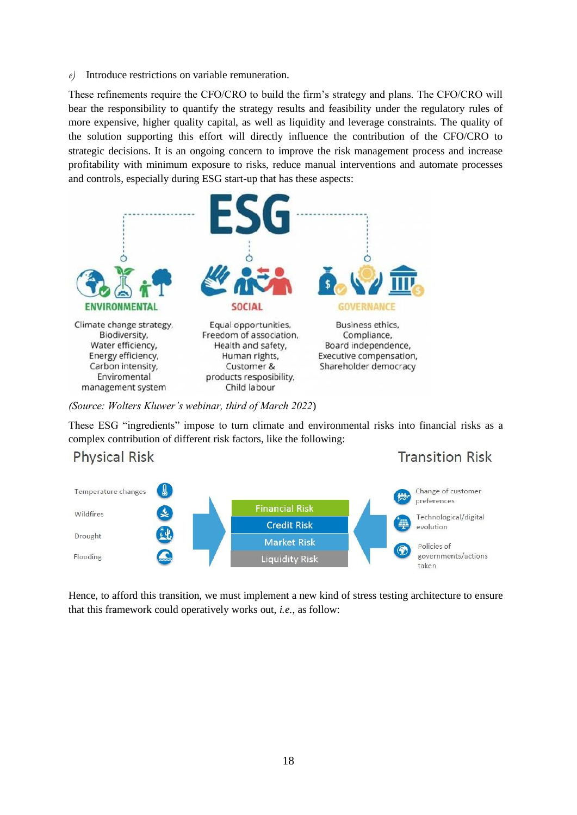*e)* Introduce restrictions on variable remuneration.

These refinements require the CFO/CRO to build the firm's strategy and plans. The CFO/CRO will bear the responsibility to quantify the strategy results and feasibility under the regulatory rules of more expensive, higher quality capital, as well as liquidity and leverage constraints. The quality of the solution supporting this effort will directly influence the contribution of the CFO/CRO to strategic decisions. It is an ongoing concern to improve the risk management process and increase profitability with minimum exposure to risks, reduce manual interventions and automate processes and controls, especially during ESG start-up that has these aspects:



*(Source: Wolters Kluwer's webinar, third of March 2022*)

These ESG "ingredients" impose to turn climate and environmental risks into financial risks as a complex contribution of different risk factors, like the following:



Hence, to afford this transition, we must implement a new kind of stress testing architecture to ensure that this framework could operatively works out, *i.e.*, as follow: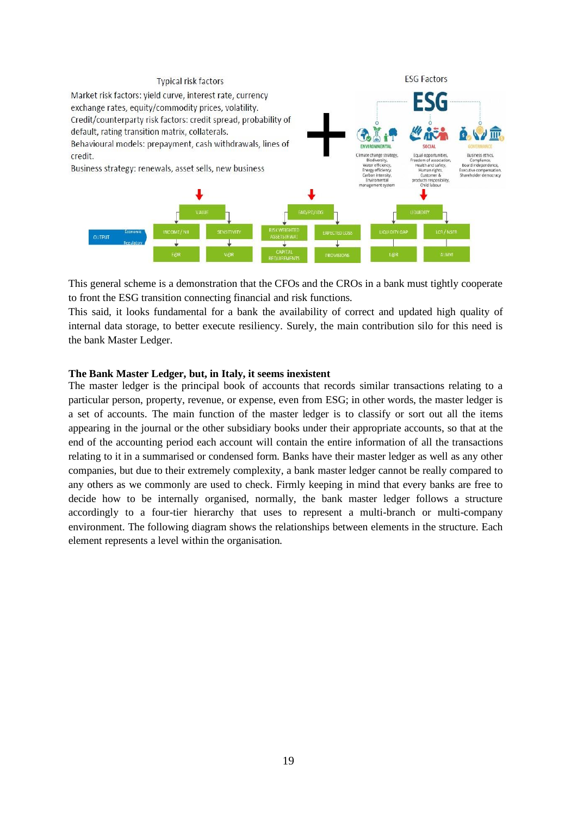

This general scheme is a demonstration that the CFOs and the CROs in a bank must tightly cooperate to front the ESG transition connecting financial and risk functions.

This said, it looks fundamental for a bank the availability of correct and updated high quality of internal data storage, to better execute resiliency. Surely, the main contribution silo for this need is the bank Master Ledger.

#### **The Bank Master Ledger, but, in Italy, it seems inexistent**

The master ledger is the principal book of accounts that records similar transactions relating to a particular person, property, revenue, or expense, even from ESG; in other words, the master ledger is a set of accounts. The main function of the master ledger is to classify or sort out all the items appearing in the journal or the other subsidiary books under their appropriate accounts, so that at the end of the accounting period each account will contain the entire information of all the transactions relating to it in a summarised or condensed form. Banks have their master ledger as well as any other companies, but due to their extremely complexity, a bank master ledger cannot be really compared to any others as we commonly are used to check. Firmly keeping in mind that every banks are free to decide how to be internally organised, normally, the bank master ledger follows a structure accordingly to a four-tier hierarchy that uses to represent a multi-branch or multi-company environment. The following diagram shows the relationships between elements in the structure. Each element represents a level within the organisation.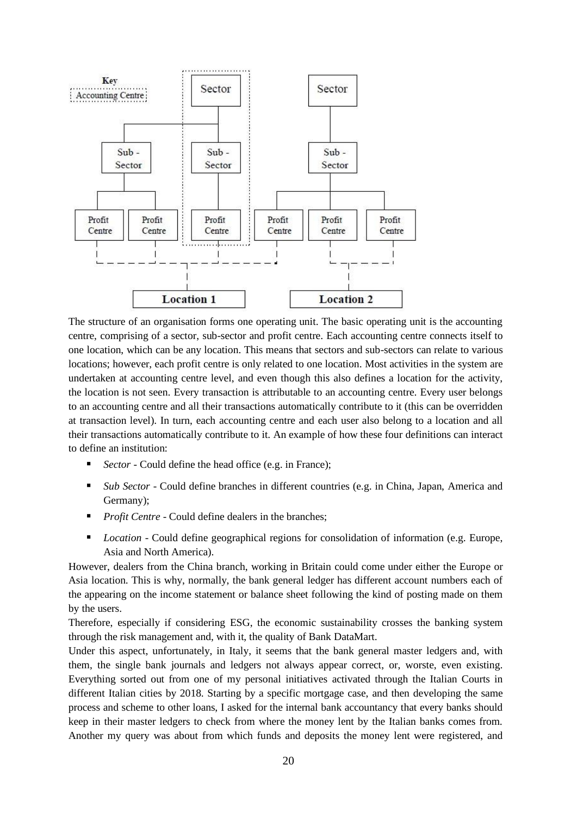

The structure of an organisation forms one operating unit. The basic operating unit is the accounting centre, comprising of a sector, sub-sector and profit centre. Each accounting centre connects itself to one location, which can be any location. This means that sectors and sub-sectors can relate to various locations; however, each profit centre is only related to one location. Most activities in the system are undertaken at accounting centre level, and even though this also defines a location for the activity, the location is not seen. Every transaction is attributable to an accounting centre. Every user belongs to an accounting centre and all their transactions automatically contribute to it (this can be overridden at transaction level). In turn, each accounting centre and each user also belong to a location and all their transactions automatically contribute to it. An example of how these four definitions can interact to define an institution:

- *Sector* Could define the head office (e.g. in France);
- *Sub Sector* Could define branches in different countries (e.g. in China, Japan, America and Germany);
- **•** *Profit Centre* Could define dealers in the branches;
- *Location* Could define geographical regions for consolidation of information (e.g. Europe, Asia and North America).

However, dealers from the China branch, working in Britain could come under either the Europe or Asia location. This is why, normally, the bank general ledger has different account numbers each of the appearing on the income statement or balance sheet following the kind of posting made on them by the users.

Therefore, especially if considering ESG, the economic sustainability crosses the banking system through the risk management and, with it, the quality of Bank DataMart.

Under this aspect, unfortunately, in Italy, it seems that the bank general master ledgers and, with them, the single bank journals and ledgers not always appear correct, or, worste, even existing. Everything sorted out from one of my personal initiatives activated through the Italian Courts in different Italian cities by 2018. Starting by a specific mortgage case, and then developing the same process and scheme to other loans, I asked for the internal bank accountancy that every banks should keep in their master ledgers to check from where the money lent by the Italian banks comes from. Another my query was about from which funds and deposits the money lent were registered, and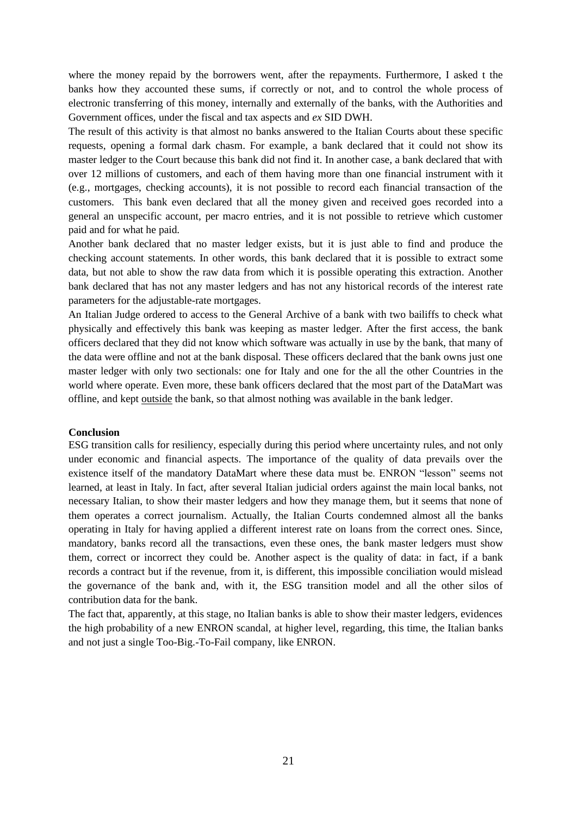where the money repaid by the borrowers went, after the repayments. Furthermore, I asked t the banks how they accounted these sums, if correctly or not, and to control the whole process of electronic transferring of this money, internally and externally of the banks, with the Authorities and Government offices, under the fiscal and tax aspects and *ex* SID DWH.

The result of this activity is that almost no banks answered to the Italian Courts about these specific requests, opening a formal dark chasm. For example, a bank declared that it could not show its master ledger to the Court because this bank did not find it. In another case, a bank declared that with over 12 millions of customers, and each of them having more than one financial instrument with it (e.g., mortgages, checking accounts), it is not possible to record each financial transaction of the customers. This bank even declared that all the money given and received goes recorded into a general an unspecific account, per macro entries, and it is not possible to retrieve which customer paid and for what he paid.

Another bank declared that no master ledger exists, but it is just able to find and produce the checking account statements. In other words, this bank declared that it is possible to extract some data, but not able to show the raw data from which it is possible operating this extraction. Another bank declared that has not any master ledgers and has not any historical records of the interest rate parameters for the adjustable-rate mortgages.

An Italian Judge ordered to access to the General Archive of a bank with two bailiffs to check what physically and effectively this bank was keeping as master ledger. After the first access, the bank officers declared that they did not know which software was actually in use by the bank, that many of the data were offline and not at the bank disposal. These officers declared that the bank owns just one master ledger with only two sectionals: one for Italy and one for the all the other Countries in the world where operate. Even more, these bank officers declared that the most part of the DataMart was offline, and kept outside the bank, so that almost nothing was available in the bank ledger.

#### **Conclusion**

ESG transition calls for resiliency, especially during this period where uncertainty rules, and not only under economic and financial aspects. The importance of the quality of data prevails over the existence itself of the mandatory DataMart where these data must be. ENRON "lesson" seems not learned, at least in Italy. In fact, after several Italian judicial orders against the main local banks, not necessary Italian, to show their master ledgers and how they manage them, but it seems that none of them operates a correct journalism. Actually, the Italian Courts condemned almost all the banks operating in Italy for having applied a different interest rate on loans from the correct ones. Since, mandatory, banks record all the transactions, even these ones, the bank master ledgers must show them, correct or incorrect they could be. Another aspect is the quality of data: in fact, if a bank records a contract but if the revenue, from it, is different, this impossible conciliation would mislead the governance of the bank and, with it, the ESG transition model and all the other silos of contribution data for the bank.

The fact that, apparently, at this stage, no Italian banks is able to show their master ledgers, evidences the high probability of a new ENRON scandal, at higher level, regarding, this time, the Italian banks and not just a single Too-Big.-To-Fail company, like ENRON.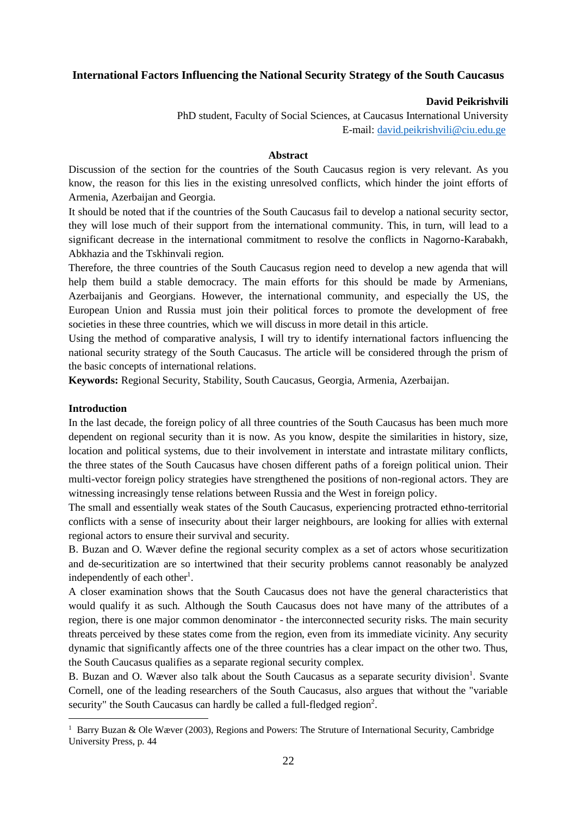### <span id="page-21-0"></span>**International Factors Influencing the National Security Strategy of the South Caucasus**

### **David Peikrishvili**

PhD student, Faculty of Social Sciences, at Caucasus International University E-mail: [david.peikrishvili@ciu.edu.ge](mailto:david.peikrishvili@ciu.edu.ge)

### **Abstract**

Discussion of the section for the countries of the South Caucasus region is very relevant. As you know, the reason for this lies in the existing unresolved conflicts, which hinder the joint efforts of Armenia, Azerbaijan and Georgia.

It should be noted that if the countries of the South Caucasus fail to develop a national security sector, they will lose much of their support from the international community. This, in turn, will lead to a significant decrease in the international commitment to resolve the conflicts in Nagorno-Karabakh, Abkhazia and the Tskhinvali region.

Therefore, the three countries of the South Caucasus region need to develop a new agenda that will help them build a stable democracy. The main efforts for this should be made by Armenians, Azerbaijanis and Georgians. However, the international community, and especially the US, the European Union and Russia must join their political forces to promote the development of free societies in these three countries, which we will discuss in more detail in this article.

Using the method of comparative analysis, I will try to identify international factors influencing the national security strategy of the South Caucasus. The article will be considered through the prism of the basic concepts of international relations.

**Keywords:** Regional Security, Stability, South Caucasus, Georgia, Armenia, Azerbaijan.

### **Introduction**

In the last decade, the foreign policy of all three countries of the South Caucasus has been much more dependent on regional security than it is now. As you know, despite the similarities in history, size, location and political systems, due to their involvement in interstate and intrastate military conflicts, the three states of the South Caucasus have chosen different paths of a foreign political union. Their multi-vector foreign policy strategies have strengthened the positions of non-regional actors. They are witnessing increasingly tense relations between Russia and the West in foreign policy.

The small and essentially weak states of the South Caucasus, experiencing protracted ethno-territorial conflicts with a sense of insecurity about their larger neighbours, are looking for allies with external regional actors to ensure their survival and security.

B. Buzan and O. Wæver define the regional security complex as a set of actors whose securitization and de-securitization are so intertwined that their security problems cannot reasonably be analyzed independently of each other<sup>1</sup>.

A closer examination shows that the South Caucasus does not have the general characteristics that would qualify it as such. Although the South Caucasus does not have many of the attributes of a region, there is one major common denominator - the interconnected security risks. The main security threats perceived by these states come from the region, even from its immediate vicinity. Any security dynamic that significantly affects one of the three countries has a clear impact on the other two. Thus, the South Caucasus qualifies as a separate regional security complex.

B. Buzan and O. Wæver also talk about the South Caucasus as a separate security division<sup>1</sup>. Svante Cornell, one of the leading researchers of the South Caucasus, also argues that without the "variable security" the South Caucasus can hardly be called a full-fledged region<sup>2</sup>.

<sup>&</sup>lt;sup>1</sup> Barry Buzan & Ole Wæver (2003), Regions and Powers: The Struture of International Security, Cambridge University Press, p. 44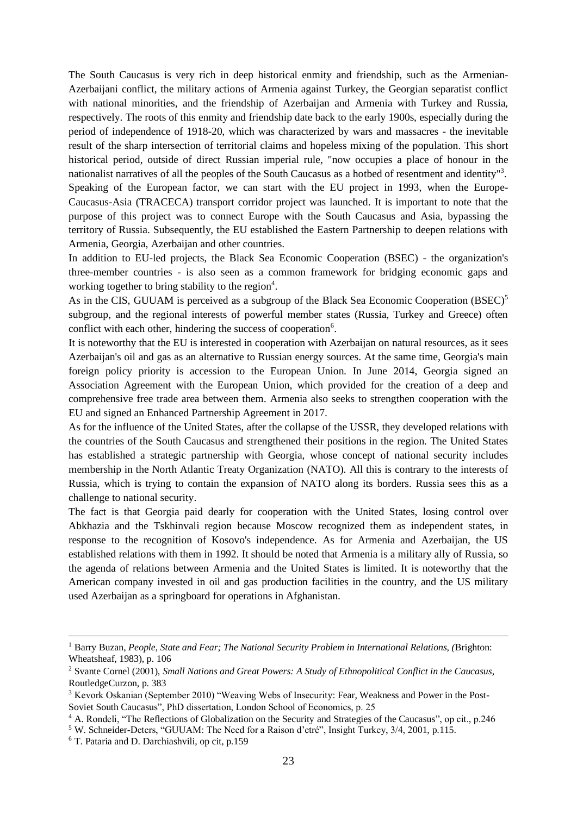The South Caucasus is very rich in deep historical enmity and friendship, such as the Armenian-Azerbaijani conflict, the military actions of Armenia against Turkey, the Georgian separatist conflict with national minorities, and the friendship of Azerbaijan and Armenia with Turkey and Russia. respectively. The roots of this enmity and friendship date back to the early 1900s, especially during the period of independence of 1918-20, which was characterized by wars and massacres - the inevitable result of the sharp intersection of territorial claims and hopeless mixing of the population. This short historical period, outside of direct Russian imperial rule, "now occupies a place of honour in the nationalist narratives of all the peoples of the South Caucasus as a hotbed of resentment and identity"<sup>3</sup>. Speaking of the European factor, we can start with the EU project in 1993, when the Europe-Caucasus-Asia (TRACECA) transport corridor project was launched. It is important to note that the purpose of this project was to connect Europe with the South Caucasus and Asia, bypassing the territory of Russia. Subsequently, the EU established the Eastern Partnership to deepen relations with Armenia, Georgia, Azerbaijan and other countries.

In addition to EU-led projects, the Black Sea Economic Cooperation (BSEC) - the organization's three-member countries - is also seen as a common framework for bridging economic gaps and working together to bring stability to the region<sup>4</sup>.

As in the CIS, GUUAM is perceived as a subgroup of the Black Sea Economic Cooperation  $(BSEC)^5$ subgroup, and the regional interests of powerful member states (Russia, Turkey and Greece) often conflict with each other, hindering the success of cooperation<sup>6</sup>.

It is noteworthy that the EU is interested in cooperation with Azerbaijan on natural resources, as it sees Azerbaijan's oil and gas as an alternative to Russian energy sources. At the same time, Georgia's main foreign policy priority is accession to the European Union. In June 2014, Georgia signed an Association Agreement with the European Union, which provided for the creation of a deep and comprehensive free trade area between them. Armenia also seeks to strengthen cooperation with the EU and signed an Enhanced Partnership Agreement in 2017.

As for the influence of the United States, after the collapse of the USSR, they developed relations with the countries of the South Caucasus and strengthened their positions in the region. The United States has established a strategic partnership with Georgia, whose concept of national security includes membership in the North Atlantic Treaty Organization (NATO). All this is contrary to the interests of Russia, which is trying to contain the expansion of NATO along its borders. Russia sees this as a challenge to national security.

The fact is that Georgia paid dearly for cooperation with the United States, losing control over Abkhazia and the Tskhinvali region because Moscow recognized them as independent states, in response to the recognition of Kosovo's independence. As for Armenia and Azerbaijan, the US established relations with them in 1992. It should be noted that Armenia is a military ally of Russia, so the agenda of relations between Armenia and the United States is limited. It is noteworthy that the American company invested in oil and gas production facilities in the country, and the US military used Azerbaijan as a springboard for operations in Afghanistan.

<sup>1</sup> Barry Buzan, *People*, *State and Fear; The National Security Problem in International Relations, (*Brighton: Wheatsheaf, 1983), p. 106

<sup>2</sup> Svante Cornel (2001), *Small Nations and Great Powers: A Study of Ethnopolitical Conflict in the Caucasus,* RoutledgeCurzon, p. 383

<sup>3</sup> Kevork Oskanian (September 2010) "Weaving Webs of Insecurity: Fear, Weakness and Power in the Post-Soviet South Caucasus", PhD dissertation, London School of Economics, p. 25

<sup>&</sup>lt;sup>4</sup> A. Rondeli, "The Reflections of Globalization on the Security and Strategies of the Caucasus", op cit., p.246

<sup>5</sup> W. Schneider-Deters, "GUUAM: The Need for a Raison d'etré", Insight Turkey, 3/4, 2001, p.115.

<sup>6</sup> T. Pataria and D. Darchiashvili, op cit, p.159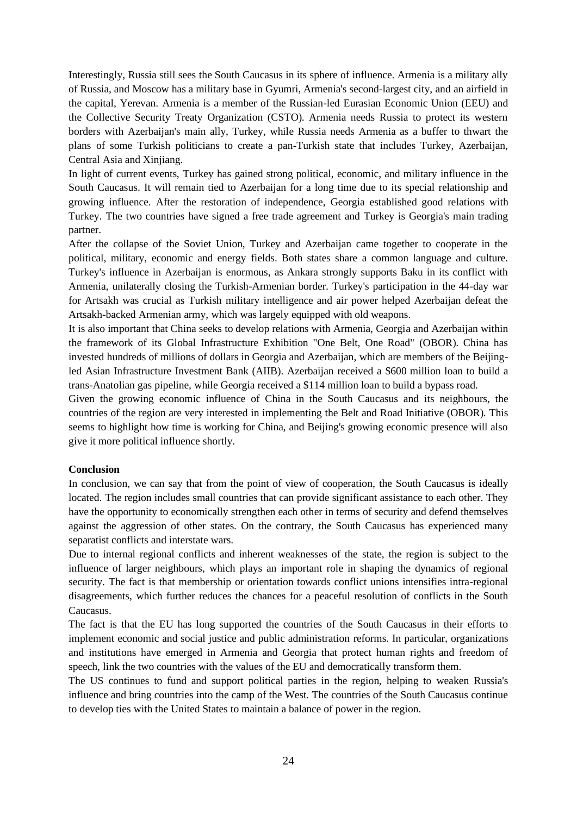Interestingly, Russia still sees the South Caucasus in its sphere of influence. Armenia is a military ally of Russia, and Moscow has a military base in Gyumri, Armenia's second-largest city, and an airfield in the capital, Yerevan. Armenia is a member of the Russian-led Eurasian Economic Union (EEU) and the Collective Security Treaty Organization (CSTO). Armenia needs Russia to protect its western borders with Azerbaijan's main ally, Turkey, while Russia needs Armenia as a buffer to thwart the plans of some Turkish politicians to create a pan-Turkish state that includes Turkey, Azerbaijan, Central Asia and Xinjiang.

In light of current events, Turkey has gained strong political, economic, and military influence in the South Caucasus. It will remain tied to Azerbaijan for a long time due to its special relationship and growing influence. After the restoration of independence, Georgia established good relations with Turkey. The two countries have signed a free trade agreement and Turkey is Georgia's main trading partner.

After the collapse of the Soviet Union, Turkey and Azerbaijan came together to cooperate in the political, military, economic and energy fields. Both states share a common language and culture. Turkey's influence in Azerbaijan is enormous, as Ankara strongly supports Baku in its conflict with Armenia, unilaterally closing the Turkish-Armenian border. Turkey's participation in the 44-day war for Artsakh was crucial as Turkish military intelligence and air power helped Azerbaijan defeat the Artsakh-backed Armenian army, which was largely equipped with old weapons.

It is also important that China seeks to develop relations with Armenia, Georgia and Azerbaijan within the framework of its Global Infrastructure Exhibition "One Belt, One Road" (OBOR). China has invested hundreds of millions of dollars in Georgia and Azerbaijan, which are members of the Beijingled Asian Infrastructure Investment Bank (AIIB). Azerbaijan received a \$600 million loan to build a trans-Anatolian gas pipeline, while Georgia received a \$114 million loan to build a bypass road.

Given the growing economic influence of China in the South Caucasus and its neighbours, the countries of the region are very interested in implementing the Belt and Road Initiative (OBOR). This seems to highlight how time is working for China, and Beijing's growing economic presence will also give it more political influence shortly.

### **Conclusion**

In conclusion, we can say that from the point of view of cooperation, the South Caucasus is ideally located. The region includes small countries that can provide significant assistance to each other. They have the opportunity to economically strengthen each other in terms of security and defend themselves against the aggression of other states. On the contrary, the South Caucasus has experienced many separatist conflicts and interstate wars.

Due to internal regional conflicts and inherent weaknesses of the state, the region is subject to the influence of larger neighbours, which plays an important role in shaping the dynamics of regional security. The fact is that membership or orientation towards conflict unions intensifies intra-regional disagreements, which further reduces the chances for a peaceful resolution of conflicts in the South Caucasus.

The fact is that the EU has long supported the countries of the South Caucasus in their efforts to implement economic and social justice and public administration reforms. In particular, organizations and institutions have emerged in Armenia and Georgia that protect human rights and freedom of speech, link the two countries with the values of the EU and democratically transform them.

The US continues to fund and support political parties in the region, helping to weaken Russia's influence and bring countries into the camp of the West. The countries of the South Caucasus continue to develop ties with the United States to maintain a balance of power in the region.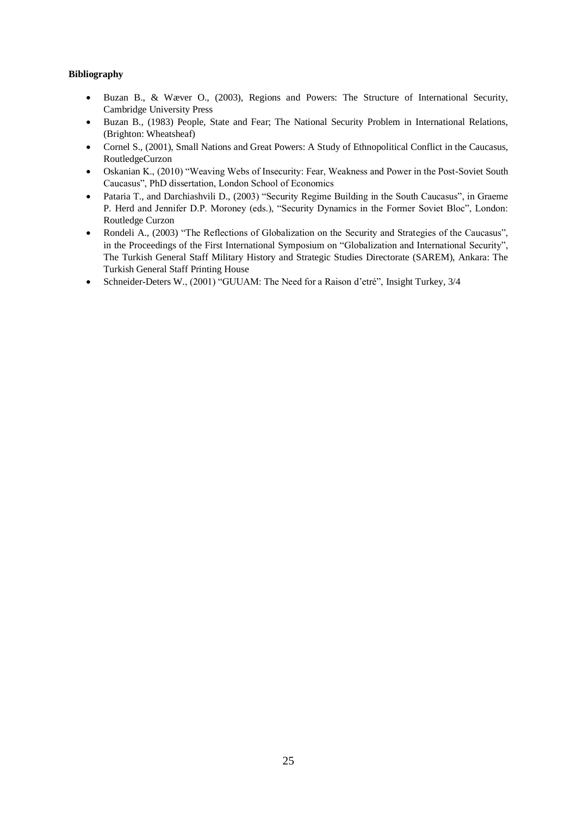### **Bibliography**

- Buzan B., & Wæver O., (2003), Regions and Powers: The Structure of International Security, Cambridge University Press
- Buzan B., (1983) People, State and Fear; The National Security Problem in International Relations, (Brighton: Wheatsheaf)
- Cornel S., (2001), Small Nations and Great Powers: A Study of Ethnopolitical Conflict in the Caucasus, RoutledgeCurzon
- Oskanian K., (2010) "Weaving Webs of Insecurity: Fear, Weakness and Power in the Post-Soviet South Caucasus", PhD dissertation, London School of Economics
- Pataria T., and Darchiashvili D., (2003) "Security Regime Building in the South Caucasus", in Graeme P. Herd and Jennifer D.P. Moroney (eds.), "Security Dynamics in the Former Soviet Bloc", London: Routledge Curzon
- Rondeli A., (2003) "The Reflections of Globalization on the Security and Strategies of the Caucasus", in the Proceedings of the First International Symposium on "Globalization and International Security", The Turkish General Staff Military History and Strategic Studies Directorate (SAREM), Ankara: The Turkish General Staff Printing House
- Schneider-Deters W., (2001) "GUUAM: The Need for a Raison d'etré", Insight Turkey, 3/4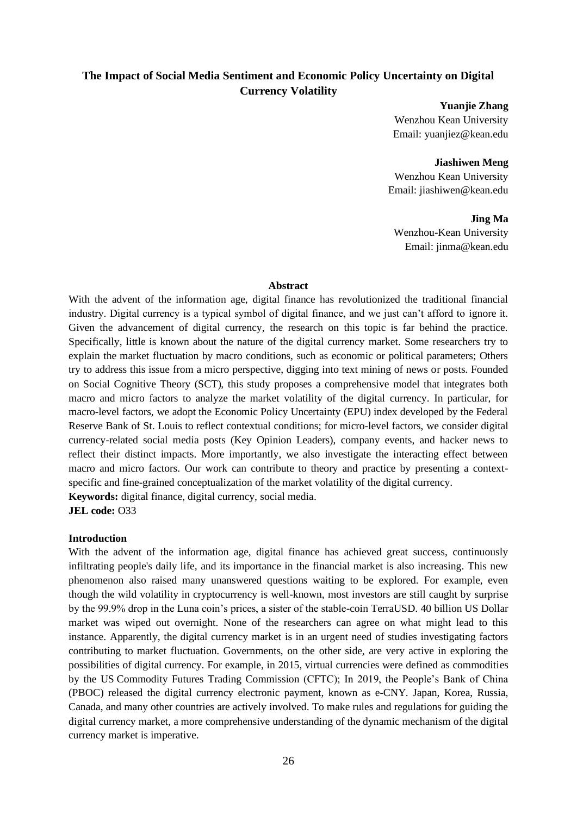# <span id="page-25-0"></span>**The Impact of Social Media Sentiment and Economic Policy Uncertainty on Digital Currency Volatility**

**Yuanjie Zhang** Wenzhou Kean University Email: yuanjiez@kean.edu

**Jiashiwen Meng** Wenzhou Kean University Email: jiashiwen@kean.edu

#### **Jing Ma**

Wenzhou-Kean University Email: jinma@kean.edu

#### **Abstract**

With the advent of the information age, digital finance has revolutionized the traditional financial industry. Digital currency is a typical symbol of digital finance, and we just can't afford to ignore it. Given the advancement of digital currency, the research on this topic is far behind the practice. Specifically, little is known about the nature of the digital currency market. Some researchers try to explain the market fluctuation by macro conditions, such as economic or political parameters; Others try to address this issue from a micro perspective, digging into text mining of news or posts. Founded on Social Cognitive Theory (SCT), this study proposes a comprehensive model that integrates both macro and micro factors to analyze the market volatility of the digital currency. In particular, for macro-level factors, we adopt the Economic Policy Uncertainty (EPU) index developed by the Federal Reserve Bank of St. Louis to reflect contextual conditions; for micro-level factors, we consider digital currency-related social media posts (Key Opinion Leaders), company events, and hacker news to reflect their distinct impacts. More importantly, we also investigate the interacting effect between macro and micro factors. Our work can contribute to theory and practice by presenting a contextspecific and fine-grained conceptualization of the market volatility of the digital currency.

**Keywords:** digital finance, digital currency, social media.

**JEL code:** O33

#### **Introduction**

With the advent of the information age, digital finance has achieved great success, continuously infiltrating people's daily life, and its importance in the financial market is also increasing. This new phenomenon also raised many unanswered questions waiting to be explored. For example, even though the wild volatility in cryptocurrency is well-known, most investors are still caught by surprise by the 99.9% drop in the Luna coin's prices, a sister of the stable-coin TerraUSD. 40 billion US Dollar market was wiped out overnight. None of the researchers can agree on what might lead to this instance. Apparently, the digital currency market is in an urgent need of studies investigating factors contributing to market fluctuation. Governments, on the other side, are very active in exploring the possibilities of digital currency. For example, in 2015, virtual currencies were defined as commodities by the US [Commodity Futures Trading Commission](https://en.wikipedia.org/wiki/Commodity_Futures_Trading_Commission) (CFTC); In 2019, the People's Bank of China (PBOC) released the digital currency electronic payment, known as e-CNY. Japan, Korea, Russia, Canada, and many other countries are actively involved. To make rules and regulations for guiding the digital currency market, a more comprehensive understanding of the dynamic mechanism of the digital currency market is imperative.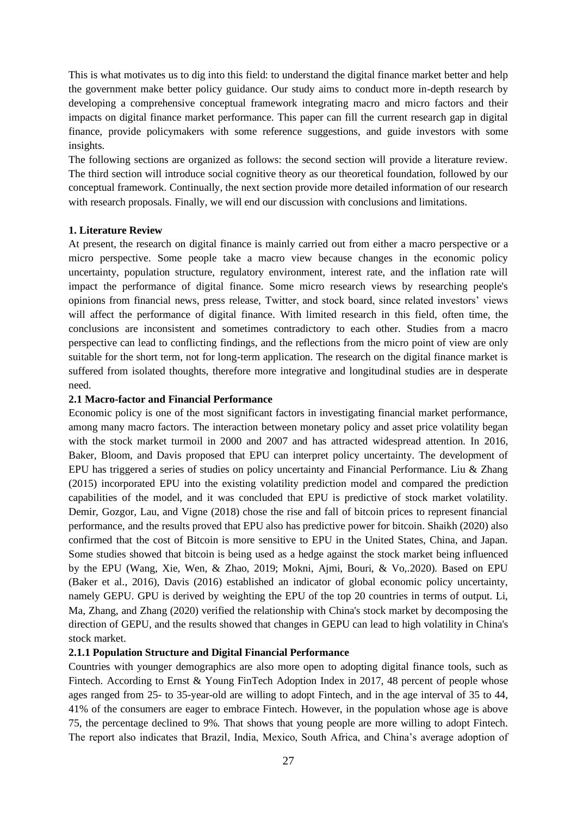This is what motivates us to dig into this field: to understand the digital finance market better and help the government make better policy guidance. Our study aims to conduct more in-depth research by developing a comprehensive conceptual framework integrating macro and micro factors and their impacts on digital finance market performance. This paper can fill the current research gap in digital finance, provide policymakers with some reference suggestions, and guide investors with some insights.

The following sections are organized as follows: the second section will provide a literature review. The third section will introduce social cognitive theory as our theoretical foundation, followed by our conceptual framework. Continually, the next section provide more detailed information of our research with research proposals. Finally, we will end our discussion with conclusions and limitations.

### **1. Literature Review**

At present, the research on digital finance is mainly carried out from either a macro perspective or a micro perspective. Some people take a macro view because changes in the economic policy uncertainty, population structure, regulatory environment, interest rate, and the inflation rate will impact the performance of digital finance. Some micro research views by researching people's opinions from financial news, press release, Twitter, and stock board, since related investors' views will affect the performance of digital finance. With limited research in this field, often time, the conclusions are inconsistent and sometimes contradictory to each other. Studies from a macro perspective can lead to conflicting findings, and the reflections from the micro point of view are only suitable for the short term, not for long-term application. The research on the digital finance market is suffered from isolated thoughts, therefore more integrative and longitudinal studies are in desperate need.

### **2.1 Macro-factor and Financial Performance**

Economic policy is one of the most significant factors in investigating financial market performance, among many macro factors. The interaction between monetary policy and asset price volatility began with the stock market turmoil in 2000 and 2007 and has attracted widespread attention. In 2016, Baker, Bloom, and Davis proposed that EPU can interpret policy uncertainty. The development of EPU has triggered a series of studies on policy uncertainty and Financial Performance. Liu & Zhang (2015) incorporated EPU into the existing volatility prediction model and compared the prediction capabilities of the model, and it was concluded that EPU is predictive of stock market volatility. Demir, Gozgor, Lau, and Vigne (2018) chose the rise and fall of bitcoin prices to represent financial performance, and the results proved that EPU also has predictive power for bitcoin. Shaikh (2020) also confirmed that the cost of Bitcoin is more sensitive to EPU in the United States, China, and Japan. Some studies showed that bitcoin is being used as a hedge against the stock market being influenced by the EPU (Wang, Xie, Wen, & Zhao, 2019; Mokni, Ajmi, Bouri, & Vo,.2020). Based on EPU (Baker et al., 2016), Davis (2016) established an indicator of global economic policy uncertainty, namely GEPU. GPU is derived by weighting the EPU of the top 20 countries in terms of output. Li, Ma, Zhang, and Zhang (2020) verified the relationship with China's stock market by decomposing the direction of GEPU, and the results showed that changes in GEPU can lead to high volatility in China's stock market.

# **2.1.1 Population Structure and Digital Financial Performance**

Countries with younger demographics are also more open to adopting digital finance tools, such as Fintech. According to Ernst & Young FinTech Adoption Index in 2017, 48 percent of people whose ages ranged from 25- to 35-year-old are willing to adopt Fintech, and in the age interval of 35 to 44, 41% of the consumers are eager to embrace Fintech. However, in the population whose age is above 75, the percentage declined to 9%. That shows that young people are more willing to adopt Fintech. The report also indicates that Brazil, India, Mexico, South Africa, and China's average adoption of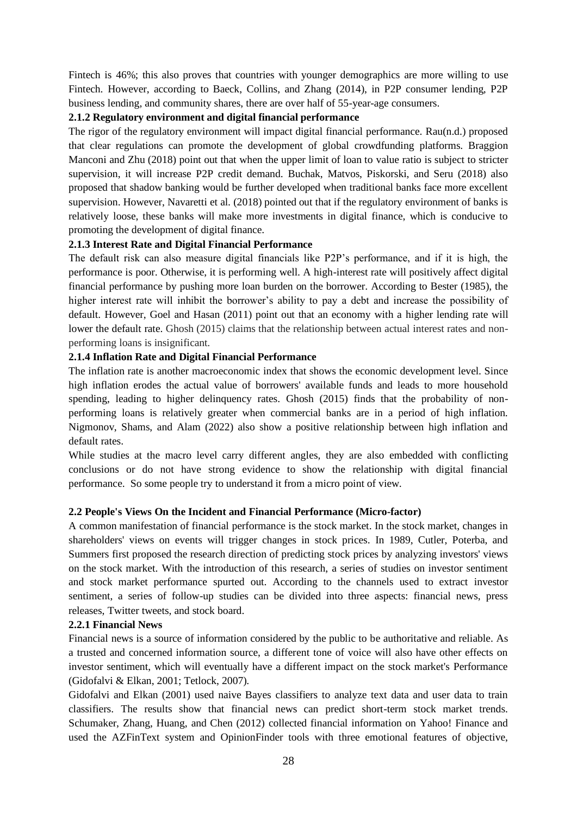Fintech is 46%; this also proves that countries with younger demographics are more willing to use Fintech. However, according to Baeck, Collins, and Zhang (2014), in P2P consumer lending, P2P business lending, and community shares, there are over half of 55-year-age consumers.

### **2.1.2 Regulatory environment and digital financial performance**

The rigor of the regulatory environment will impact digital financial performance. Rau(n.d.) proposed that clear regulations can promote the development of global crowdfunding platforms. Braggion Manconi and Zhu (2018) point out that when the upper limit of loan to value ratio is subject to stricter supervision, it will increase P2P credit demand. Buchak, Matvos, Piskorski, and Seru (2018) also proposed that shadow banking would be further developed when traditional banks face more excellent supervision. However, Navaretti et al. (2018) pointed out that if the regulatory environment of banks is relatively loose, these banks will make more investments in digital finance, which is conducive to promoting the development of digital finance.

# **2.1.3 Interest Rate and Digital Financial Performance**

The default risk can also measure digital financials like P2P's performance, and if it is high, the performance is poor. Otherwise, it is performing well. A high-interest rate will positively affect digital financial performance by pushing more loan burden on the borrower. According to Bester (1985), the higher interest rate will inhibit the borrower's ability to pay a debt and increase the possibility of default. However, Goel and Hasan (2011) point out that an economy with a higher lending rate will lower the default rate. Ghosh (2015) claims that the relationship between actual interest rates and nonperforming loans is insignificant.

### **2.1.4 Inflation Rate and Digital Financial Performance**

The inflation rate is another macroeconomic index that shows the economic development level. Since high inflation erodes the actual value of borrowers' available funds and leads to more household spending, leading to higher delinquency rates. Ghosh (2015) finds that the probability of nonperforming loans is relatively greater when commercial banks are in a period of high inflation. Nigmonov, Shams, and Alam (2022) also show a positive relationship between high inflation and default rates.

While studies at the macro level carry different angles, they are also embedded with conflicting conclusions or do not have strong evidence to show the relationship with digital financial performance. So some people try to understand it from a micro point of view.

### **2.2 People's Views On the Incident and Financial Performance (Micro-factor)**

A common manifestation of financial performance is the stock market. In the stock market, changes in shareholders' views on events will trigger changes in stock prices. In 1989, Cutler, Poterba, and Summers first proposed the research direction of predicting stock prices by analyzing investors' views on the stock market. With the introduction of this research, a series of studies on investor sentiment and stock market performance spurted out. According to the channels used to extract investor sentiment, a series of follow-up studies can be divided into three aspects: financial news, press releases, Twitter tweets, and stock board.

### **2.2.1 Financial News**

Financial news is a source of information considered by the public to be authoritative and reliable. As a trusted and concerned information source, a different tone of voice will also have other effects on investor sentiment, which will eventually have a different impact on the stock market's Performance (Gidofalvi & Elkan, 2001; Tetlock, 2007).

Gidofalvi and Elkan (2001) used naive Bayes classifiers to analyze text data and user data to train classifiers. The results show that financial news can predict short-term stock market trends. Schumaker, Zhang, Huang, and Chen (2012) collected financial information on Yahoo! Finance and used the AZFinText system and OpinionFinder tools with three emotional features of objective,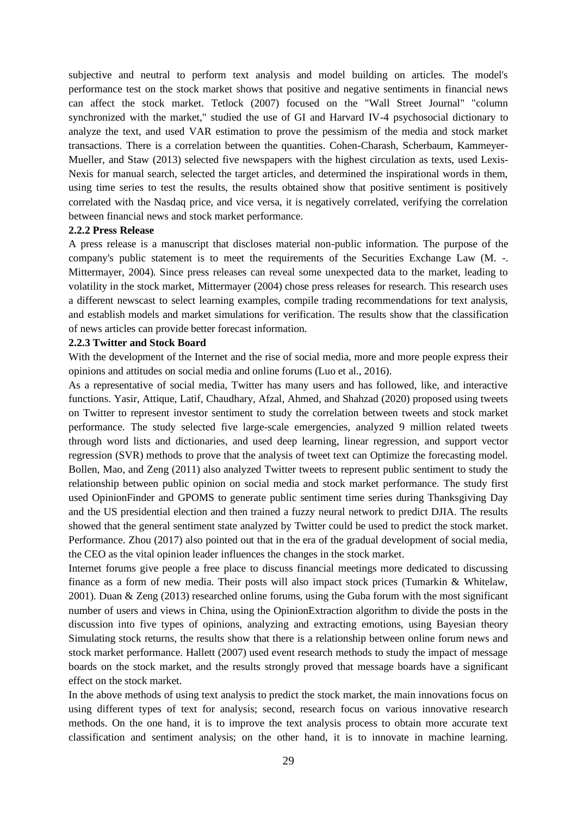subjective and neutral to perform text analysis and model building on articles. The model's performance test on the stock market shows that positive and negative sentiments in financial news can affect the stock market. Tetlock (2007) focused on the "Wall Street Journal" "column synchronized with the market," studied the use of GI and Harvard IV-4 psychosocial dictionary to analyze the text, and used VAR estimation to prove the pessimism of the media and stock market transactions. There is a correlation between the quantities. Cohen-Charash, Scherbaum, Kammeyer-Mueller, and Staw (2013) selected five newspapers with the highest circulation as texts, used Lexis-Nexis for manual search, selected the target articles, and determined the inspirational words in them, using time series to test the results, the results obtained show that positive sentiment is positively correlated with the Nasdaq price, and vice versa, it is negatively correlated, verifying the correlation between financial news and stock market performance.

#### **2.2.2 Press Release**

A press release is a manuscript that discloses material non-public information. The purpose of the company's public statement is to meet the requirements of the Securities Exchange Law (M. -. Mittermayer, 2004). Since press releases can reveal some unexpected data to the market, leading to volatility in the stock market, Mittermayer (2004) chose press releases for research. This research uses a different newscast to select learning examples, compile trading recommendations for text analysis, and establish models and market simulations for verification. The results show that the classification of news articles can provide better forecast information.

#### **2.2.3 Twitter and Stock Board**

With the development of the Internet and the rise of social media, more and more people express their opinions and attitudes on social media and online forums (Luo et al., 2016).

As a representative of social media, Twitter has many users and has followed, like, and interactive functions. Yasir, Attique, Latif, Chaudhary, Afzal, Ahmed, and Shahzad (2020) proposed using tweets on Twitter to represent investor sentiment to study the correlation between tweets and stock market performance. The study selected five large-scale emergencies, analyzed 9 million related tweets through word lists and dictionaries, and used deep learning, linear regression, and support vector regression (SVR) methods to prove that the analysis of tweet text can Optimize the forecasting model. Bollen, Mao, and Zeng (2011) also analyzed Twitter tweets to represent public sentiment to study the relationship between public opinion on social media and stock market performance. The study first used OpinionFinder and GPOMS to generate public sentiment time series during Thanksgiving Day and the US presidential election and then trained a fuzzy neural network to predict DJIA. The results showed that the general sentiment state analyzed by Twitter could be used to predict the stock market. Performance. Zhou (2017) also pointed out that in the era of the gradual development of social media, the CEO as the vital opinion leader influences the changes in the stock market.

Internet forums give people a free place to discuss financial meetings more dedicated to discussing finance as a form of new media. Their posts will also impact stock prices (Tumarkin & Whitelaw, 2001). Duan & Zeng (2013) researched online forums, using the Guba forum with the most significant number of users and views in China, using the OpinionExtraction algorithm to divide the posts in the discussion into five types of opinions, analyzing and extracting emotions, using Bayesian theory Simulating stock returns, the results show that there is a relationship between online forum news and stock market performance. Hallett (2007) used event research methods to study the impact of message boards on the stock market, and the results strongly proved that message boards have a significant effect on the stock market.

In the above methods of using text analysis to predict the stock market, the main innovations focus on using different types of text for analysis; second, research focus on various innovative research methods. On the one hand, it is to improve the text analysis process to obtain more accurate text classification and sentiment analysis; on the other hand, it is to innovate in machine learning.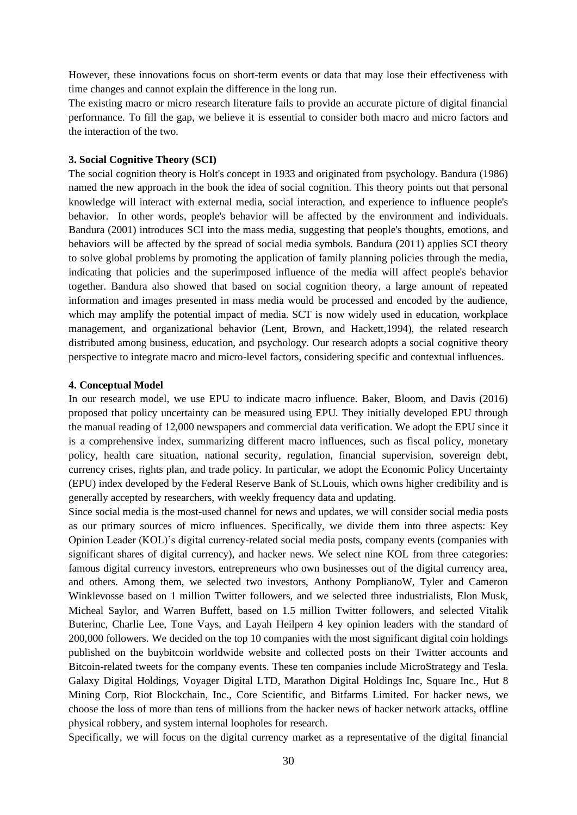However, these innovations focus on short-term events or data that may lose their effectiveness with time changes and cannot explain the difference in the long run.

The existing macro or micro research literature fails to provide an accurate picture of digital financial performance. To fill the gap, we believe it is essential to consider both macro and micro factors and the interaction of the two.

#### **3. Social Cognitive Theory (SCI)**

The social cognition theory is Holt's concept in 1933 and originated from psychology. Bandura (1986) named the new approach in the book the idea of social cognition. This theory points out that personal knowledge will interact with external media, social interaction, and experience to influence people's behavior. In other words, people's behavior will be affected by the environment and individuals. Bandura (2001) introduces SCI into the mass media, suggesting that people's thoughts, emotions, and behaviors will be affected by the spread of social media symbols. Bandura (2011) applies SCI theory to solve global problems by promoting the application of family planning policies through the media, indicating that policies and the superimposed influence of the media will affect people's behavior together. Bandura also showed that based on social cognition theory, a large amount of repeated information and images presented in mass media would be processed and encoded by the audience, which may amplify the potential impact of media. SCT is now widely used in education, workplace management, and organizational behavior (Lent, Brown, and Hackett,1994), the related research distributed among business, education, and psychology. Our research adopts a social cognitive theory perspective to integrate macro and micro-level factors, considering specific and contextual influences.

#### **4. Conceptual Model**

In our research model, we use EPU to indicate macro influence. Baker, Bloom, and Davis (2016) proposed that policy uncertainty can be measured using EPU. They initially developed EPU through the manual reading of 12,000 newspapers and commercial data verification. We adopt the EPU since it is a comprehensive index, summarizing different macro influences, such as fiscal policy, monetary policy, health care situation, national security, regulation, financial supervision, sovereign debt, currency crises, rights plan, and trade policy. In particular, we adopt the Economic Policy Uncertainty (EPU) index developed by the Federal Reserve Bank of St.Louis, which owns higher credibility and is generally accepted by researchers, with weekly frequency data and updating.

Since social media is the most-used channel for news and updates, we will consider social media posts as our primary sources of micro influences. Specifically, we divide them into three aspects: Key Opinion Leader (KOL)'s digital currency-related social media posts, company events (companies with significant shares of digital currency), and hacker news. We select nine KOL from three categories: famous digital currency investors, entrepreneurs who own businesses out of the digital currency area, and others. Among them, we selected two investors, Anthony PomplianoW, Tyler and Cameron Winklevosse based on 1 million Twitter followers, and we selected three industrialists, Elon Musk, Micheal Saylor, and Warren Buffett, based on 1.5 million Twitter followers, and selected Vitalik Buterinc, Charlie Lee, Tone Vays, and Layah Heilpern 4 key opinion leaders with the standard of 200,000 followers. We decided on the top 10 companies with the most significant digital coin holdings published on the buybitcoin worldwide website and collected posts on their Twitter accounts and Bitcoin-related tweets for the company events. These ten companies include MicroStrategy and Tesla. Galaxy Digital Holdings, Voyager Digital LTD, Marathon Digital Holdings Inc, Square Inc., Hut 8 Mining Corp, Riot Blockchain, Inc., Core Scientific, and Bitfarms Limited. For hacker news, we choose the loss of more than tens of millions from the hacker news of hacker network attacks, offline physical robbery, and system internal loopholes for research.

Specifically, we will focus on the digital currency market as a representative of the digital financial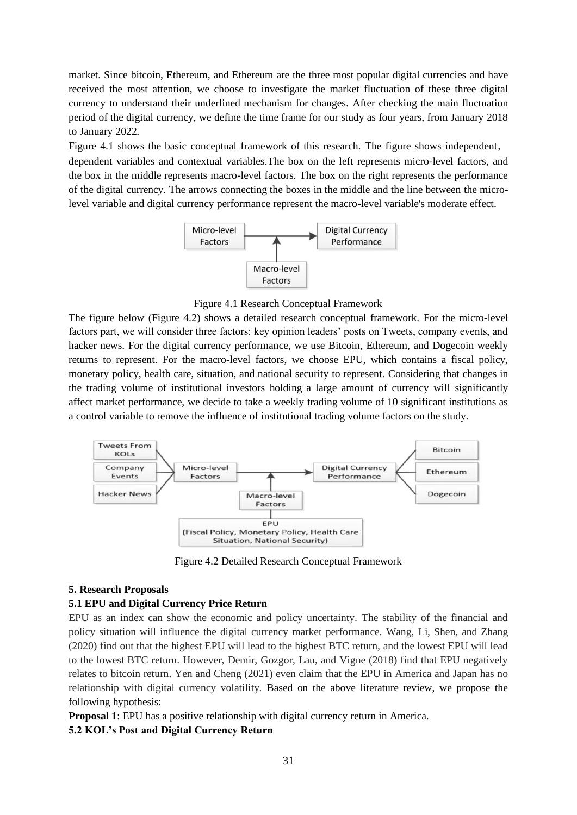market. Since bitcoin, Ethereum, and Ethereum are the three most popular digital currencies and have received the most attention, we choose to investigate the market fluctuation of these three digital currency to understand their underlined mechanism for changes. After checking the main fluctuation period of the digital currency, we define the time frame for our study as four years, from January 2018 to January 2022.

Figure 4.1 shows the basic conceptual framework of this research. The figure shows independent, dependent variables and contextual variables.The box on the left represents micro-level factors, and the box in the middle represents macro-level factors. The box on the right represents the performance of the digital currency. The arrows connecting the boxes in the middle and the line between the microlevel variable and digital currency performance represent the macro-level variable's moderate effect.



Figure 4.1 Research Conceptual Framework

The figure below (Figure 4.2) shows a detailed research conceptual framework. For the micro-level factors part, we will consider three factors: key opinion leaders' posts on Tweets, company events, and hacker news. For the digital currency performance, we use Bitcoin, Ethereum, and Dogecoin weekly returns to represent. For the macro-level factors, we choose EPU, which contains a fiscal policy, monetary policy, health care, situation, and national security to represent. Considering that changes in the trading volume of institutional investors holding a large amount of currency will significantly affect market performance, we decide to take a weekly trading volume of 10 significant institutions as a control variable to remove the influence of institutional trading volume factors on the study.



Figure 4.2 Detailed Research Conceptual Framework

# **5. Research Proposals**

# **5.1 EPU and Digital Currency Price Return**

EPU as an index can show the economic and policy uncertainty. The stability of the financial and policy situation will influence the digital currency market performance. Wang, Li, Shen, and Zhang (2020) find out that the highest EPU will lead to the highest BTC return, and the lowest EPU will lead to the lowest BTC return. However, Demir, Gozgor, Lau, and Vigne (2018) find that EPU negatively relates to bitcoin return. Yen and Cheng (2021) even claim that the EPU in America and Japan has no relationship with digital currency volatility. Based on the above literature review, we propose the following hypothesis:

**Proposal 1**: EPU has a positive relationship with digital currency return in America.

# **5.2 KOL's Post and Digital Currency Return**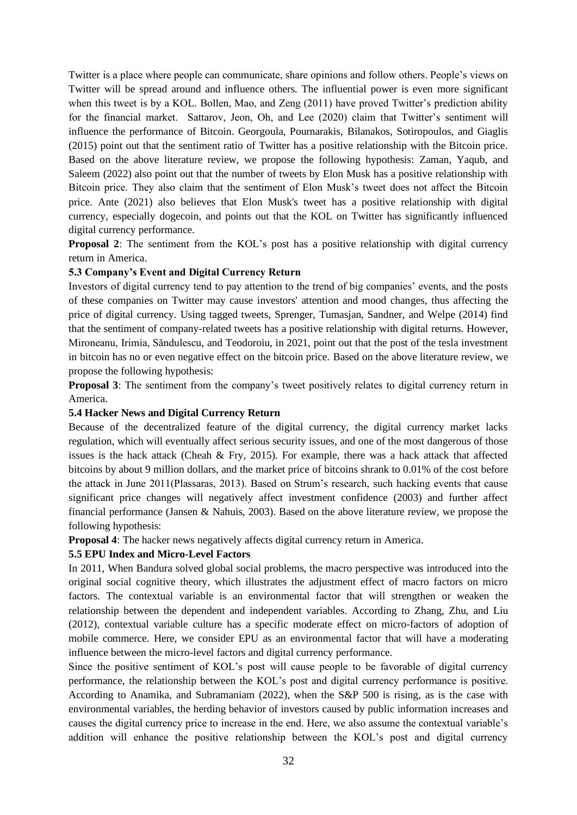Twitter is a place where people can communicate, share opinions and follow others. People's views on Twitter will be spread around and influence others. The influential power is even more significant when this tweet is by a KOL. Bollen, Mao, and Zeng (2011) have proved Twitter's prediction ability for the financial market. Sattarov, Jeon, Oh, and Lee (2020) claim that Twitter's sentiment will influence the performance of Bitcoin. Georgoula, Pournarakis, Bilanakos, Sotiropoulos, and Giaglis (2015) point out that the sentiment ratio of Twitter has a positive relationship with the Bitcoin price. Based on the above literature review, we propose the following hypothesis: Zaman, Yaqub, and Saleem (2022) also point out that the number of tweets by Elon Musk has a positive relationship with Bitcoin price. They also claim that the sentiment of Elon Musk's tweet does not affect the Bitcoin price. Ante (2021) also believes that Elon Musk's tweet has a positive relationship with digital currency, especially dogecoin, and points out that the KOL on Twitter has significantly influenced digital currency performance.

**Proposal 2:** The sentiment from the KOL's post has a positive relationship with digital currency return in America.

### **5.3 Company's Event and Digital Currency Return**

Investors of digital currency tend to pay attention to the trend of big companies' events, and the posts of these companies on Twitter may cause investors' attention and mood changes, thus affecting the price of digital currency. Using tagged tweets, Sprenger, Tumasjan, Sandner, and Welpe (2014) find that the sentiment of company-related tweets has a positive relationship with digital returns. However, Mironeanu, Irimia, Săndulescu, and Teodoroiu, in 2021, point out that the post of the tesla investment in bitcoin has no or even negative effect on the bitcoin price. Based on the above literature review, we propose the following hypothesis:

**Proposal 3**: The sentiment from the company's tweet positively relates to digital currency return in America.

#### **5.4 Hacker News and Digital Currency Return**

Because of the decentralized feature of the digital currency, the digital currency market lacks regulation, which will eventually affect serious security issues, and one of the most dangerous of those issues is the hack attack (Cheah & Fry, 2015). For example, there was a hack attack that affected bitcoins by about 9 million dollars, and the market price of bitcoins shrank to 0.01% of the cost before the attack in June 2011(Plassaras, 2013). Based on Strum's research, such hacking events that cause significant price changes will negatively affect investment confidence (2003) and further affect financial performance (Jansen & Nahuis, 2003). Based on the above literature review, we propose the following hypothesis:

**Proposal 4**: The hacker news negatively affects digital currency return in America.

#### **5.5 EPU Index and Micro-Level Factors**

In 2011, When Bandura solved global social problems, the macro perspective was introduced into the original social cognitive theory, which illustrates the adjustment effect of macro factors on micro factors. The contextual variable is an environmental factor that will strengthen or weaken the relationship between the dependent and independent variables. According to Zhang, Zhu, and Liu (2012), contextual variable culture has a specific moderate effect on micro-factors of adoption of mobile commerce. Here, we consider EPU as an environmental factor that will have a moderating influence between the micro-level factors and digital currency performance.

Since the positive sentiment of KOL's post will cause people to be favorable of digital currency performance, the relationship between the KOL's post and digital currency performance is positive. According to Anamika, and Subramaniam (2022), when the S&P 500 is rising, as is the case with environmental variables, the herding behavior of investors caused by public information increases and causes the digital currency price to increase in the end. Here, we also assume the contextual variable's addition will enhance the positive relationship between the KOL's post and digital currency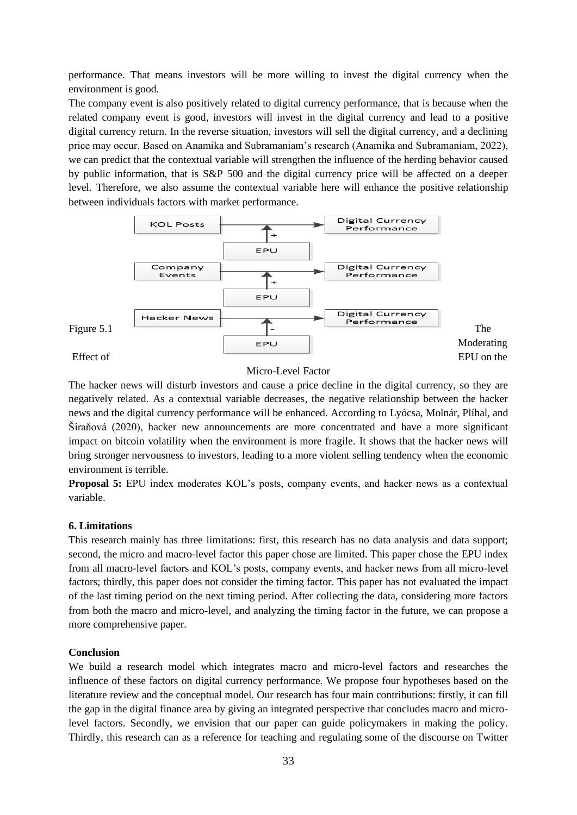performance. That means investors will be more willing to invest the digital currency when the environment is good.

The company event is also positively related to digital currency performance, that is because when the related company event is good, investors will invest in the digital currency and lead to a positive digital currency return. In the reverse situation, investors will sell the digital currency, and a declining price may occur. Based on Anamika and Subramaniam's research (Anamika and Subramaniam, 2022), we can predict that the contextual variable will strengthen the influence of the herding behavior caused by public information, that is S&P 500 and the digital currency price will be affected on a deeper level. Therefore, we also assume the contextual variable here will enhance the positive relationship between individuals factors with market performance.



Micro-Level Factor

The hacker news will disturb investors and cause a price decline in the digital currency, so they are negatively related. As a contextual variable decreases, the negative relationship between the hacker news and the digital currency performance will be enhanced. According to Lyócsa, Molnár, Plíhal, and Širaňová (2020), hacker new announcements are more concentrated and have a more significant impact on bitcoin volatility when the environment is more fragile. It shows that the hacker news will bring stronger nervousness to investors, leading to a more violent selling tendency when the economic environment is terrible.

**Proposal 5:** EPU index moderates KOL's posts, company events, and hacker news as a contextual variable.

### **6. Limitations**

This research mainly has three limitations: first, this research has no data analysis and data support; second, the micro and macro-level factor this paper chose are limited. This paper chose the EPU index from all macro-level factors and KOL's posts, company events, and hacker news from all micro-level factors; thirdly, this paper does not consider the timing factor. This paper has not evaluated the impact of the last timing period on the next timing period. After collecting the data, considering more factors from both the macro and micro-level, and analyzing the timing factor in the future, we can propose a more comprehensive paper.

# **Conclusion**

We build a research model which integrates macro and micro-level factors and researches the influence of these factors on digital currency performance. We propose four hypotheses based on the literature review and the conceptual model. Our research has four main contributions: firstly, it can fill the gap in the digital finance area by giving an integrated perspective that concludes macro and microlevel factors. Secondly, we envision that our paper can guide policymakers in making the policy. Thirdly, this research can as a reference for teaching and regulating some of the discourse on Twitter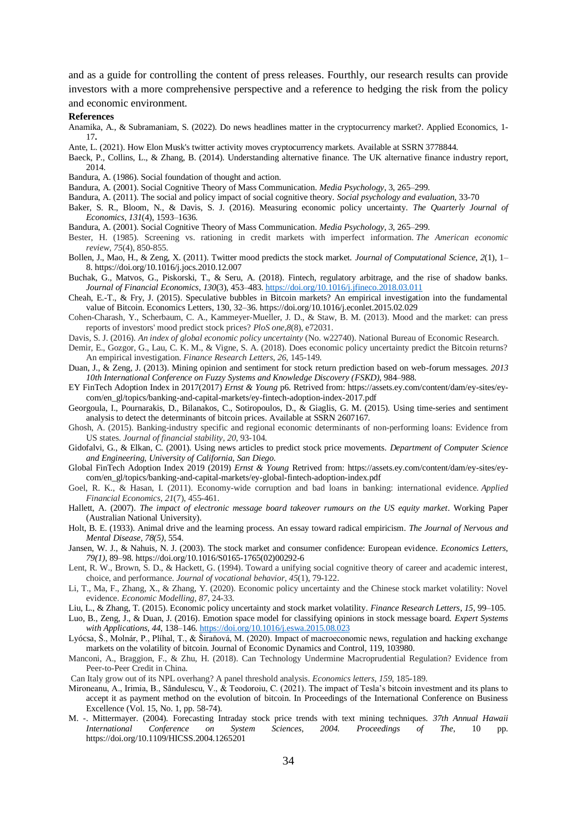and as a guide for controlling the content of press releases. Fourthly, our research results can provide investors with a more comprehensive perspective and a reference to hedging the risk from the policy and economic environment.

#### **References**

- Anamika, A., & Subramaniam, S. (2022). Do news headlines matter in the cryptocurrency market?. Applied Economics, 1- 17**.**
- Ante, L. (2021). How Elon Musk's twitter activity moves cryptocurrency markets. Available at SSRN 3778844.
- Baeck, P., Collins, L., & Zhang, B. (2014). Understanding alternative finance. The UK alternative finance industry report, 2014.
- Bandura, A. (1986). Social foundation of thought and action.
- Bandura, A. (2001). Social Cognitive Theory of Mass Communication. *Media Psychology*, 3, 265–299.
- Bandura, A. (2011). The social and policy impact of social cognitive theory. *Social psychology and evaluation,* 33-70
- Baker, S. R., Bloom, N., & Davis, S. J. (2016). Measuring economic policy uncertainty. *The Quarterly Journal of Economics*, *131*(4), 1593–1636.
- Bandura, A. (2001). Social Cognitive Theory of Mass Communication. *Media Psychology*, *3*, 265–299.
- Bester, H. (1985). Screening vs. rationing in credit markets with imperfect information. *The American economic review*, *75*(4), 850-855.
- Bollen, J., Mao, H., & Zeng, X. (2011). Twitter mood predicts the stock market. *Journal of Computational Science*, *2*(1), 1– 8. https://doi.org/10.1016/j.jocs.2010.12.007
- Buchak, G., Matvos, G., Piskorski, T., & Seru, A. (2018). Fintech, regulatory arbitrage, and the rise of shadow banks. *Journal of Financial Economics*, *130*(3), 453–483.<https://doi.org/10.1016/j.jfineco.2018.03.011>
- Cheah, E.-T., & Fry, J. (2015). Speculative bubbles in Bitcoin markets? An empirical investigation into the fundamental value of Bitcoin. Economics Letters, 130, 32–36. https://doi.org/10.1016/j.econlet.2015.02.029
- Cohen-Charash, Y., Scherbaum, C. A., Kammeyer-Mueller, J. D., & Staw, B. M. (2013). Mood and the market: can press reports of investors' mood predict stock prices? *PloS one*,*8*(8), e72031.
- Davis, S. J. (2016). *An index of global economic policy uncertainty* (No. w22740). National Bureau of Economic Research.
- Demir, E., Gozgor, G., Lau, C. K. M., & Vigne, S. A. (2018). Does economic policy uncertainty predict the Bitcoin returns? An empirical investigation. *Finance Research Letters*, *26*, 145-149.
- Duan, J., & Zeng, J. (2013). Mining opinion and sentiment for stock return prediction based on web-forum messages. *2013 10th International Conference on Fuzzy Systems and Knowledge Discovery (FSKD)*, 984–988.
- EY FinTech Adoption Index in 2017(2017) *Ernst & Young* p6. Retrived from: https://assets.ey.com/content/dam/ey-sites/eycom/en\_gl/topics/banking-and-capital-markets/ey-fintech-adoption-index-2017.pdf
- Georgoula, I., Pournarakis, D., Bilanakos, C., Sotiropoulos, D., & Giaglis, G. M. (2015). Using time-series and sentiment analysis to detect the determinants of bitcoin prices. Available at SSRN 2607167.
- Ghosh, A. (2015). Banking-industry specific and regional economic determinants of non-performing loans: Evidence from US states. *Journal of financial stability*, *20*, 93-104.
- Gidofalvi, G., & Elkan, C. (2001). Using news articles to predict stock price movements. *Department of Computer Science and Engineering, University of California, San Diego*.
- Global FinTech Adoption Index 2019 (2019) *Ernst & Young* Retrived from: https://assets.ey.com/content/dam/ey-sites/eycom/en\_gl/topics/banking-and-capital-markets/ey-global-fintech-adoption-index.pdf
- Goel, R. K., & Hasan, I. (2011). Economy-wide corruption and bad loans in banking: international evidence. *Applied Financial Economics*, *21*(7), 455-461.
- Hallett, A. (2007). *The impact of electronic message board takeover rumours on the US equity market*. Working Paper (Australian National University).
- Holt, B. E. (1933). Animal drive and the learning process. An essay toward radical empiricism. *The Journal of Nervous and Mental Disease, 78(5)*, 554.
- Jansen, W. J., & Nahuis, N. J. (2003). The stock market and consumer confidence: European evidence. *Economics Letters, 79(1)*, 89–98. https://doi.org/10.1016/S0165-1765(02)00292-6
- Lent, R. W., Brown, S. D., & Hackett, G. (1994). Toward a unifying social cognitive theory of career and academic interest, choice, and performance. *Journal of vocational behavior*, *45*(1), 79-122.
- Li, T., Ma, F., Zhang, X., & Zhang, Y. (2020). Economic policy uncertainty and the Chinese stock market volatility: Novel evidence. *Economic Modelling*, *87*, 24-33.
- Liu, L., & Zhang, T. (2015). Economic policy uncertainty and stock market volatility. *Finance Research Letters*, *15*, 99–105.
- Luo, B., Zeng, J., & Duan, J. (2016). Emotion space model for classifying opinions in stock message board. *Expert Systems with Applications*, *44*, 138–146.<https://doi.org/10.1016/j.eswa.2015.08.023>
- Lyócsa, Š., Molnár, P., Plíhal, T., & Širaňová, M. (2020). Impact of macroeconomic news, regulation and hacking exchange markets on the volatility of bitcoin. Journal of Economic Dynamics and Control, 119, 103980.
- Manconi, A., Braggion, F., & Zhu, H. (2018). Can Technology Undermine Macroprudential Regulation? Evidence from Peer-to-Peer Credit in China.
- Can Italy grow out of its NPL overhang? A panel threshold analysis. *Economics letters*, *159*, 185-189.
- Mironeanu, A., Irimia, B., Săndulescu, V., & Teodoroiu, C. (2021). The impact of Tesla's bitcoin investment and its plans to accept it as payment method on the evolution of bitcoin. In Proceedings of the International Conference on Business Excellence (Vol. 15, No. 1, pp. 58-74).
- M. -. Mittermayer. (2004). Forecasting Intraday stock price trends with text mining techniques. *37th Annual Hawaii International Conference on System Sciences, 2004. Proceedings of The*, 10 pp. https://doi.org/10.1109/HICSS.2004.1265201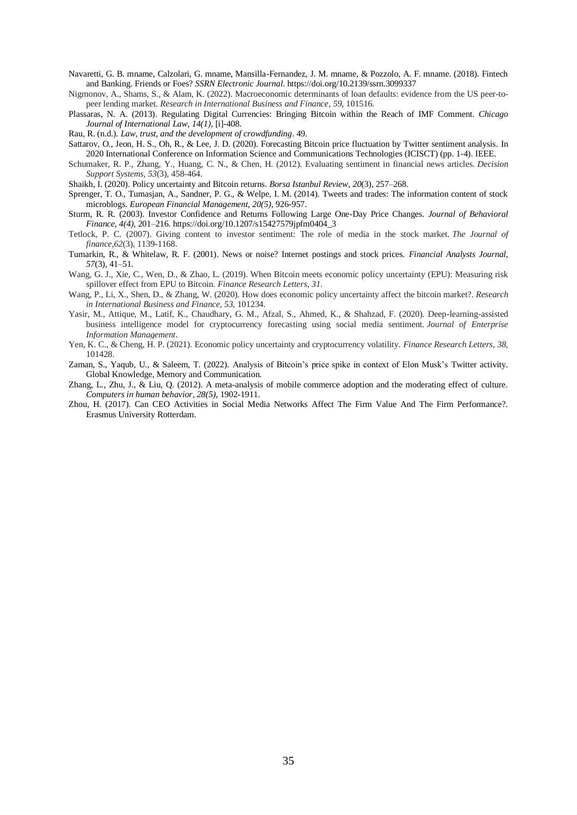- Navaretti, G. B. mname, Calzolari, G. mname, Mansilla-Fernandez, J. M. mname, & Pozzolo, A. F. mname. (2018). Fintech and Banking. Friends or Foes? *SSRN Electronic Journal*. https://doi.org/10.2139/ssrn.3099337
- Nigmonov, A., Shams, S., & Alam, K. (2022). Macroeconomic determinants of loan defaults: evidence from the US peer-topeer lending market. *Research in International Business and Finance*, *59*, 101516.
- Plassaras, N. A. (2013). Regulating Digital Currencies: Bringing Bitcoin within the Reach of IMF Comment. *Chicago Journal of International Law, 14(1)*, [i]-408.
- Rau, R. (n.d.). *Law, trust, and the development of crowdfunding*. 49.
- Sattarov, O., Jeon, H. S., Oh, R., & Lee, J. D. (2020). Forecasting Bitcoin price fluctuation by Twitter sentiment analysis. In 2020 International Conference on Information Science and Communications Technologies (ICISCT) (pp. 1-4). IEEE.
- Schumaker, R. P., Zhang, Y., Huang, C. N., & Chen, H. (2012). Evaluating sentiment in financial news articles. *Decision Support Systems*, *53*(3), 458-464.
- Shaikh, I. (2020). Policy uncertainty and Bitcoin returns. *Borsa Istanbul Review*, *20*(3), 257–268.
- Sprenger, T. O., Tumasjan, A., Sandner, P. G., & Welpe, I. M. (2014). Tweets and trades: The information content of stock microblogs. *European Financial Management, 20(5)*, 926-957.
- Sturm, R. R. (2003). Investor Confidence and Returns Following Large One-Day Price Changes. *Journal of Behavioral Finance, 4(4)*, 201–216. https://doi.org/10.1207/s15427579jpfm0404\_3
- Tetlock, P. C. (2007). Giving content to investor sentiment: The role of media in the stock market. *The Journal of finance*,*62*(3), 1139-1168.
- Tumarkin, R., & Whitelaw, R. F. (2001). News or noise? Internet postings and stock prices. *Financial Analysts Journal*, *57*(3), 41–51.
- Wang, G. J., Xie, C., Wen, D., & Zhao, L. (2019). When Bitcoin meets economic policy uncertainty (EPU): Measuring risk spillover effect from EPU to Bitcoin. *Finance Research Letters*, *31*.
- Wang, P., Li, X., Shen, D., & Zhang, W. (2020). How does economic policy uncertainty affect the bitcoin market?. *Research in International Business and Finance*, *53*, 101234.
- Yasir, M., Attique, M., Latif, K., Chaudhary, G. M., Afzal, S., Ahmed, K., & Shahzad, F. (2020). Deep-learning-assisted business intelligence model for cryptocurrency forecasting using social media sentiment. *Journal of Enterprise Information Management*.
- Yen, K. C., & Cheng, H. P. (2021). Economic policy uncertainty and cryptocurrency volatility. *Finance Research Letters*, *38*, 101428.
- Zaman, S., Yaqub, U., & Saleem, T. (2022). Analysis of Bitcoin's price spike in context of Elon Musk's Twitter activity. Global Knowledge, Memory and Communication.
- Zhang, L., Zhu, J., & Liu, Q. (2012). A meta-analysis of mobile commerce adoption and the moderating effect of culture. *Computers in human behavior, 28(5)*, 1902-1911.
- Zhou, H. (2017). Can CEO Activities in Social Media Networks Affect The Firm Value And The Firm Performance?. Erasmus University Rotterdam.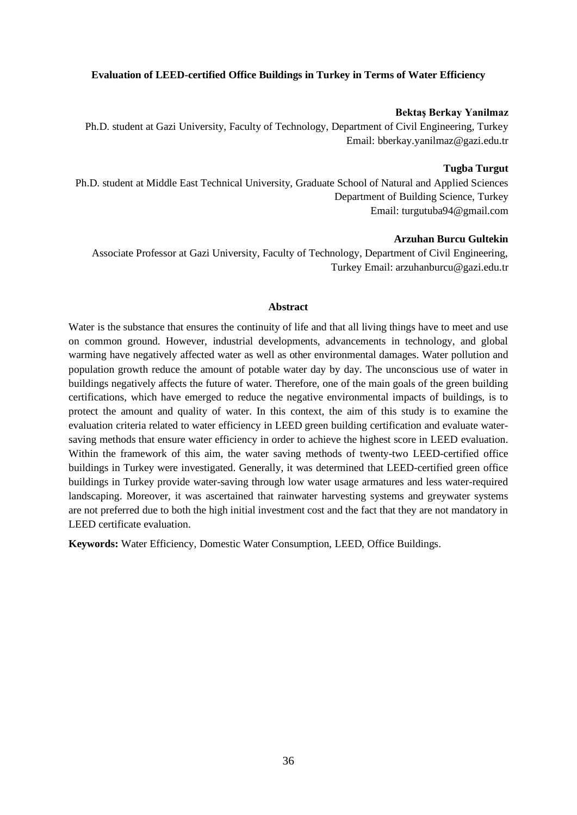#### <span id="page-35-0"></span>**Evaluation of LEED-certified Office Buildings in Turkey in Terms of Water Efficiency**

#### **Bektaş Berkay Yanilmaz**

Ph.D. student at Gazi University, Faculty of Technology, Department of Civil Engineering, Turkey Email: bberkay.yanilmaz@gazi.edu.tr

#### **Tugba Turgut**

Ph.D. student at Middle East Technical University, Graduate School of Natural and Applied Sciences Department of Building Science, Turkey Email: turgutuba94@gmail.com

### **Arzuhan Burcu Gultekin**

Associate Professor at Gazi University, Faculty of Technology, Department of Civil Engineering, Turkey Email: arzuhanburcu@gazi.edu.tr

#### **Abstract**

Water is the substance that ensures the continuity of life and that all living things have to meet and use on common ground. However, industrial developments, advancements in technology, and global warming have negatively affected water as well as other environmental damages. Water pollution and population growth reduce the amount of potable water day by day. The unconscious use of water in buildings negatively affects the future of water. Therefore, one of the main goals of the green building certifications, which have emerged to reduce the negative environmental impacts of buildings, is to protect the amount and quality of water. In this context, the aim of this study is to examine the evaluation criteria related to water efficiency in LEED green building certification and evaluate watersaving methods that ensure water efficiency in order to achieve the highest score in LEED evaluation. Within the framework of this aim, the water saving methods of twenty-two LEED-certified office buildings in Turkey were investigated. Generally, it was determined that LEED-certified green office buildings in Turkey provide water-saving through low water usage armatures and less water-required landscaping. Moreover, it was ascertained that rainwater harvesting systems and greywater systems are not preferred due to both the high initial investment cost and the fact that they are not mandatory in LEED certificate evaluation.

**Keywords:** Water Efficiency, Domestic Water Consumption, LEED, Office Buildings.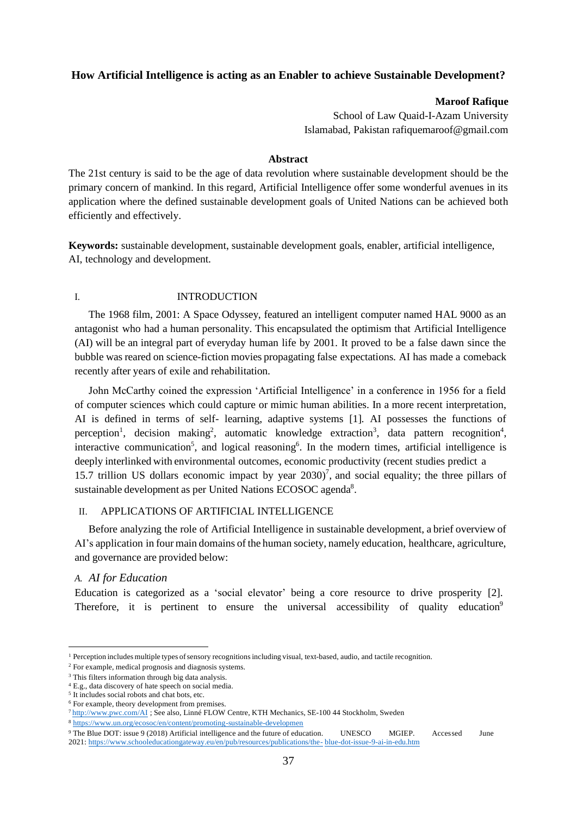# <span id="page-36-0"></span>**How Artificial Intelligence is acting as an Enabler to achieve Sustainable Development?**

### **Maroof Rafique**

School of Law Quaid-I-Azam University Islamabad, Pakistan rafiquemaroof@gmail.com

#### **Abstract**

The 21st century is said to be the age of data revolution where sustainable development should be the primary concern of mankind. In this regard, Artificial Intelligence offer some wonderful avenues in its application where the defined sustainable development goals of United Nations can be achieved both efficiently and effectively.

**Keywords:** sustainable development, sustainable development goals, enabler, artificial intelligence, AI, technology and development.

#### I. INTRODUCTION

The 1968 film, 2001: A Space Odyssey, featured an intelligent computer named HAL 9000 as an antagonist who had a human personality. This encapsulated the optimism that Artificial Intelligence (AI) will be an integral part of everyday human life by 2001. It proved to be a false dawn since the bubble was reared on science-fiction movies propagating false expectations. AI has made a comeback recently after years of exile and rehabilitation.

John McCarthy coined the expression 'Artificial Intelligence' in a conference in 1956 for a field of computer sciences which could capture or mimic human abilities. In a more recent interpretation, AI is defined in terms of self- learning, adaptive systems [1]. AI possesses the functions of perception<sup>1</sup>, decision making<sup>2</sup>, automatic knowledge extraction<sup>3</sup>, data pattern recognition<sup>4</sup>, interactive communication<sup>5</sup>, and logical reasoning<sup>6</sup>. In the modern times, artificial intelligence is deeply interlinked with environmental outcomes, economic productivity (recent studies predict a 15.7 trillion US dollars economic impact by year  $2030$ <sup>7</sup>, and social equality; the three pillars of sustainable development as per United Nations ECOSOC agenda<sup>8</sup>.

### II. APPLICATIONS OF ARTIFICIAL INTELLIGENCE

Before analyzing the role of Artificial Intelligence in sustainable development, a brief overview of AI's application in four main domains of the human society, namely education, healthcare, agriculture, and governance are provided below:

### *A. AI for Education*

Education is categorized as a 'social elevator' being a core resource to drive prosperity [2]. Therefore, it is pertinent to ensure the universal accessibility of quality education<sup>9</sup>

 $<sup>1</sup>$  Perception includes multiple types of sensory recognitions including visual, text-based, audio, and tactile recognition.</sup>

<sup>2</sup> For example, medical prognosis and diagnosis systems.

<sup>&</sup>lt;sup>3</sup> This filters information through big data analysis.

<sup>4</sup> E.g., data discovery of hate speech on social media.

<sup>5</sup> It includes social robots and chat bots, etc.

<sup>&</sup>lt;sup>6</sup> For example, theory development from premises.

<sup>7</sup> <http://www.pwc.com/AI> ; See also, Linné FLOW Centre, KTH Mechanics, SE-100 44 Stockholm, Sweden

<sup>8</sup> <https://www.un.org/ecosoc/en/content/promoting-sustainable-developmen>

<sup>9</sup> The Blue DOT: issue 9 (2018) Artificial intelligence and the future of education. UNESCO MGIEP. Accessed June 2021[: https://www.schooleducationgateway.eu/en/pub/resources/publications/the-](https://www.schooleducationgateway.eu/en/pub/resources/publications/the-blue-dot-issue-9-ai-in-edu.htm) [blue-dot-issue-9-ai-in-edu.htm](https://www.schooleducationgateway.eu/en/pub/resources/publications/the-blue-dot-issue-9-ai-in-edu.htm)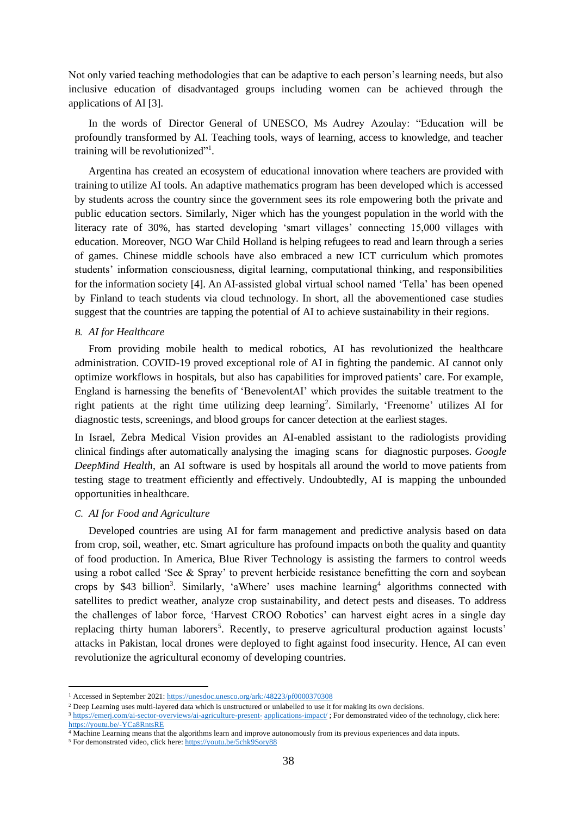Not only varied teaching methodologies that can be adaptive to each person's learning needs, but also inclusive education of disadvantaged groups including women can be achieved through the applications of AI [3].

In the words of Director General of UNESCO, Ms Audrey Azoulay: "Education will be profoundly transformed by AI. Teaching tools, ways of learning, access to knowledge, and teacher training will be revolutionized"<sup>1</sup>.

Argentina has created an ecosystem of educational innovation where teachers are provided with training to utilize AI tools. An adaptive mathematics program has been developed which is accessed by students across the country since the government sees its role empowering both the private and public education sectors. Similarly, Niger which has the youngest population in the world with the literacy rate of 30%, has started developing 'smart villages' connecting 15,000 villages with education. Moreover, NGO War Child Holland is helping refugees to read and learn through a series of games. Chinese middle schools have also embraced a new ICT curriculum which promotes students' information consciousness, digital learning, computational thinking, and responsibilities for the information society [4]. An AI-assisted global virtual school named 'Tella' has been opened by Finland to teach students via cloud technology. In short, all the abovementioned case studies suggest that the countries are tapping the potential of AI to achieve sustainability in their regions.

#### *B. AI for Healthcare*

From providing mobile health to medical robotics, AI has revolutionized the healthcare administration. COVID-19 proved exceptional role of AI in fighting the pandemic. AI cannot only optimize workflows in hospitals, but also has capabilities for improved patients' care. For example, England is harnessing the benefits of 'BenevolentAI' which provides the suitable treatment to the right patients at the right time utilizing deep learning<sup>2</sup>. Similarly, 'Freenome' utilizes AI for diagnostic tests, screenings, and blood groups for cancer detection at the earliest stages.

In Israel, Zebra Medical Vision provides an AI-enabled assistant to the radiologists providing clinical findings after automatically analysing the imaging scans for diagnostic purposes. *Google DeepMind Health*, an AI software is used by hospitals all around the world to move patients from testing stage to treatment efficiently and effectively. Undoubtedly, AI is mapping the unbounded opportunities inhealthcare.

#### *C. AI for Food and Agriculture*

Developed countries are using AI for farm management and predictive analysis based on data from crop, soil, weather, etc. Smart agriculture has profound impacts on both the quality and quantity of food production. In America, Blue River Technology is assisting the farmers to control weeds using a robot called 'See  $\&$  Spray' to prevent herbicide resistance benefitting the corn and soybean crops by \$43 billion<sup>3</sup>. Similarly, 'aWhere' uses machine learning<sup>4</sup> algorithms connected with satellites to predict weather, analyze crop sustainability, and detect pests and diseases. To address the challenges of labor force, 'Harvest CROO Robotics' can harvest eight acres in a single day replacing thirty human laborers<sup>5</sup>. Recently, to preserve agricultural production against locusts' attacks in Pakistan, local drones were deployed to fight against food insecurity. Hence, AI can even revolutionize the agricultural economy of developing countries.

<sup>1</sup> Accessed in September 2021: https://unesdoc.unesco.org/ark:/48223/pf0000370308

<sup>&</sup>lt;sup>2</sup> Deep Learning uses multi-layered data which is unstructured or unlabelled to use it for making its own decisions.

<sup>&</sup>lt;sup>3</sup> [https://emerj.com/ai-sector-overviews/ai-agriculture-present-](https://emerj.com/ai-sector-overviews/ai-agriculture-present-applications-impact/) [applications-impact/](https://emerj.com/ai-sector-overviews/ai-agriculture-present-applications-impact/); For demonstrated video of the technology, click here: <https://youtu.be/-YCa8RntsRE>

<sup>&</sup>lt;sup>4</sup> Machine Learning means that the algorithms learn and improve autonomously from its previous experiences and data inputs.

<sup>5</sup> For demonstrated video, click here[: https://youtu.be/5chk9Sory88](https://youtu.be/5chk9Sory88)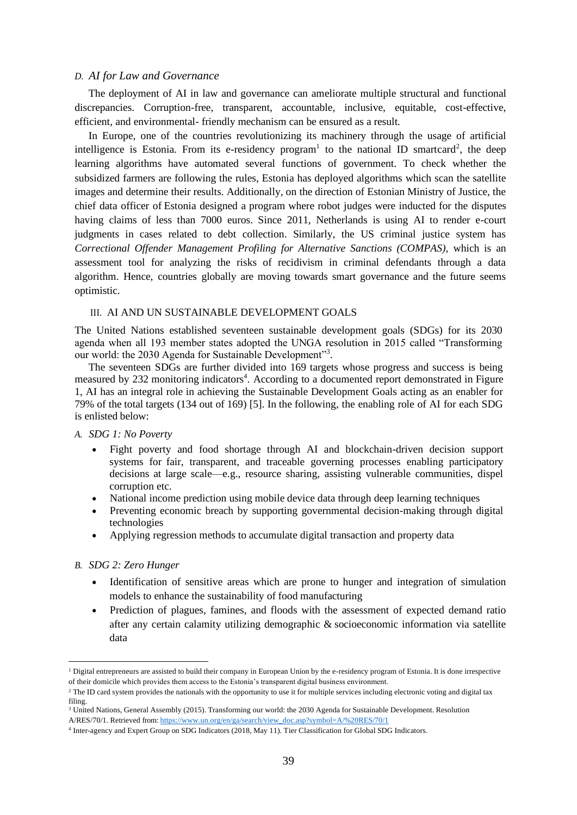#### *D. AI for Law and Governance*

The deployment of AI in law and governance can ameliorate multiple structural and functional discrepancies. Corruption-free, transparent, accountable, inclusive, equitable, cost-effective, efficient, and environmental- friendly mechanism can be ensured as a result.

In Europe, one of the countries revolutionizing its machinery through the usage of artificial intelligence is Estonia. From its e-residency program<sup>1</sup> to the national ID smartcard<sup>2</sup>, the deep learning algorithms have automated several functions of government. To check whether the subsidized farmers are following the rules, Estonia has deployed algorithms which scan the satellite images and determine their results. Additionally, on the direction of Estonian Ministry of Justice, the chief data officer of Estonia designed a program where robot judges were inducted for the disputes having claims of less than 7000 euros. Since 2011, Netherlands is using AI to render e-court judgments in cases related to debt collection. Similarly, the US criminal justice system has *Correctional Offender Management Profiling for Alternative Sanctions (COMPAS)*, which is an assessment tool for analyzing the risks of recidivism in criminal defendants through a data algorithm. Hence, countries globally are moving towards smart governance and the future seems optimistic.

#### III. AI AND UN SUSTAINABLE DEVELOPMENT GOALS

The United Nations established seventeen sustainable development goals (SDGs) for its 2030 agenda when all 193 member states adopted the UNGA resolution in 2015 called "Transforming our world: the 2030 Agenda for Sustainable Development"3.

The seventeen SDGs are further divided into 169 targets whose progress and success is being measured by 232 monitoring indicators<sup>4</sup>. According to a documented report demonstrated in Figure 1, AI has an integral role in achieving the Sustainable Development Goals acting as an enabler for 79% of the total targets (134 out of 169) [5]. In the following, the enabling role of AI for each SDG is enlisted below:

#### *A. SDG 1: No Poverty*

- Fight poverty and food shortage through AI and blockchain-driven decision support systems for fair, transparent, and traceable governing processes enabling participatory decisions at large scale—e.g., resource sharing, assisting vulnerable communities, dispel corruption etc.
- National income prediction using mobile device data through deep learning techniques
- Preventing economic breach by supporting governmental decision-making through digital technologies
- Applying regression methods to accumulate digital transaction and property data

#### *B. SDG 2: Zero Hunger*

- Identification of sensitive areas which are prone to hunger and integration of simulation models to enhance the sustainability of food manufacturing
- Prediction of plagues, famines, and floods with the assessment of expected demand ratio after any certain calamity utilizing demographic & socioeconomic information via satellite data

<sup>&</sup>lt;sup>1</sup> Digital entrepreneurs are assisted to build their company in European Union by the e-residency program of Estonia. It is done irrespective of their domicile which provides them access to the Estonia's transparent digital business environment.

<sup>&</sup>lt;sup>2</sup> The ID card system provides the nationals with the opportunity to use it for multiple services including electronic voting and digital tax filing.

<sup>3</sup> United Nations, General Assembly (2015). Transforming our world: the 2030 Agenda for Sustainable Development. Resolution A/RES/70/1. Retrieved from: https://www.un.org/en/ga/search/view\_doc.asp?symbol=A/%20RES/70/1

<sup>4</sup> Inter-agency and Expert Group on SDG Indicators (2018, May 11). Tier Classification for Global SDG Indicators.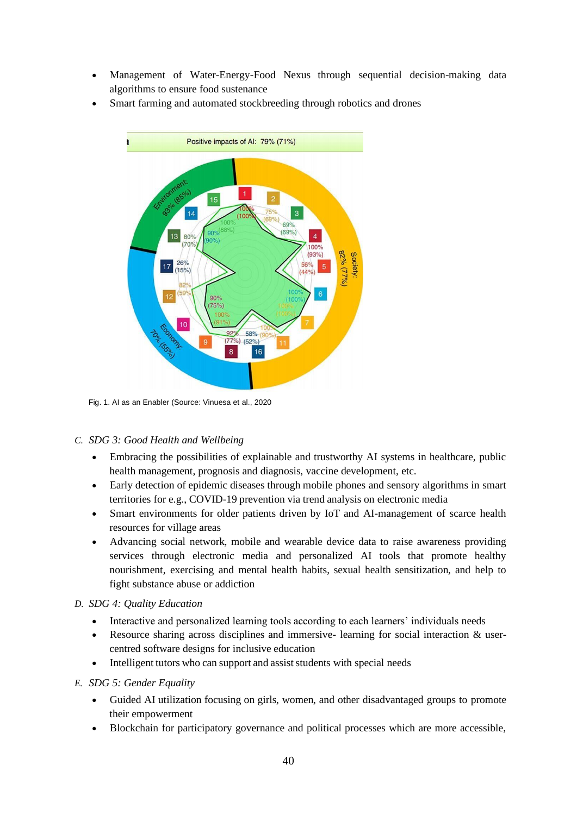- Management of Water-Energy-Food Nexus through sequential decision-making data algorithms to ensure food sustenance
- Smart farming and automated stockbreeding through robotics and drones



Fig. 1. AI as an Enabler (Source: Vinuesa et al., 2020

# *C. SDG 3: Good Health and Wellbeing*

- Embracing the possibilities of explainable and trustworthy AI systems in healthcare, public health management, prognosis and diagnosis, vaccine development, etc.
- Early detection of epidemic diseases through mobile phones and sensory algorithms in smart territories for e.g., COVID-19 prevention via trend analysis on electronic media
- Smart environments for older patients driven by IoT and AI-management of scarce health resources for village areas
- Advancing social network, mobile and wearable device data to raise awareness providing services through electronic media and personalized AI tools that promote healthy nourishment, exercising and mental health habits, sexual health sensitization, and help to fight substance abuse or addiction

# *D. SDG 4: Quality Education*

- Interactive and personalized learning tools according to each learners' individuals needs
- Resource sharing across disciplines and immersive-learning for social interaction & usercentred software designs for inclusive education
- Intelligent tutors who can support and assist students with special needs

# *E. SDG 5: Gender Equality*

- Guided AI utilization focusing on girls, women, and other disadvantaged groups to promote their empowerment
- Blockchain for participatory governance and political processes which are more accessible,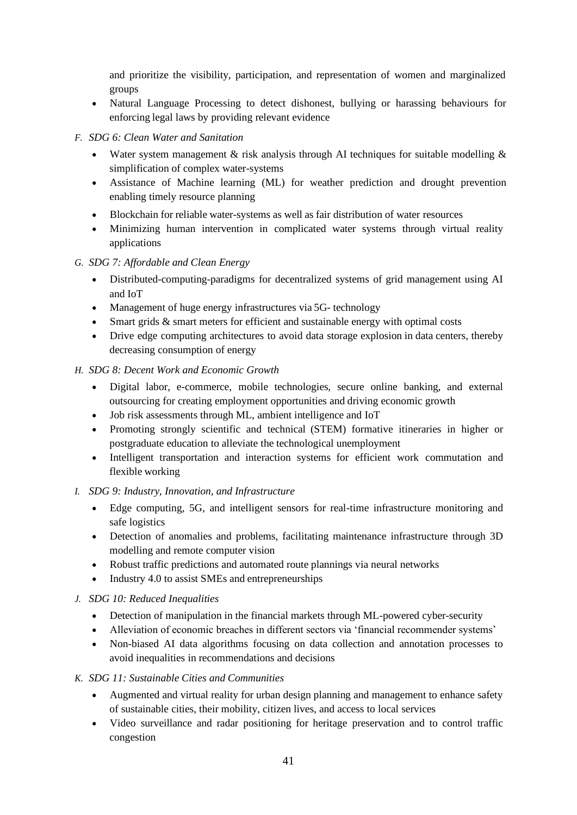and prioritize the visibility, participation, and representation of women and marginalized groups

• Natural Language Processing to detect dishonest, bullying or harassing behaviours for enforcing legal laws by providing relevant evidence

# *F. SDG 6: Clean Water and Sanitation*

- Water system management & risk analysis through AI techniques for suitable modelling & simplification of complex water-systems
- Assistance of Machine learning (ML) for weather prediction and drought prevention enabling timely resource planning
- Blockchain for reliable water-systems as well as fair distribution of water resources
- Minimizing human intervention in complicated water systems through virtual reality applications

# *G. SDG 7: Affordable and Clean Energy*

- Distributed-computing-paradigms for decentralized systems of grid management using AI and IoT
- Management of huge energy infrastructures via 5G- technology
- Smart grids & smart meters for efficient and sustainable energy with optimal costs
- Drive edge computing architectures to avoid data storage explosion in data centers, thereby decreasing consumption of energy

# *H. SDG 8: Decent Work and Economic Growth*

- Digital labor, e-commerce, mobile technologies, secure online banking, and external outsourcing for creating employment opportunities and driving economic growth
- Job risk assessments through ML, ambient intelligence and IoT
- Promoting strongly scientific and technical (STEM) formative itineraries in higher or postgraduate education to alleviate the technological unemployment
- Intelligent transportation and interaction systems for efficient work commutation and flexible working

# *I. SDG 9: Industry, Innovation, and Infrastructure*

- Edge computing, 5G, and intelligent sensors for real-time infrastructure monitoring and safe logistics
- Detection of anomalies and problems, facilitating maintenance infrastructure through 3D modelling and remote computer vision
- Robust traffic predictions and automated route plannings via neural networks
- Industry 4.0 to assist SMEs and entrepreneurships

# *J. SDG 10: Reduced Inequalities*

- Detection of manipulation in the financial markets through ML-powered cyber-security
- Alleviation of economic breaches in different sectors via 'financial recommender systems'
- Non-biased AI data algorithms focusing on data collection and annotation processes to avoid inequalities in recommendations and decisions

# *K. SDG 11: Sustainable Cities and Communities*

- Augmented and virtual reality for urban design planning and management to enhance safety of sustainable cities, their mobility, citizen lives, and access to local services
- Video surveillance and radar positioning for heritage preservation and to control traffic congestion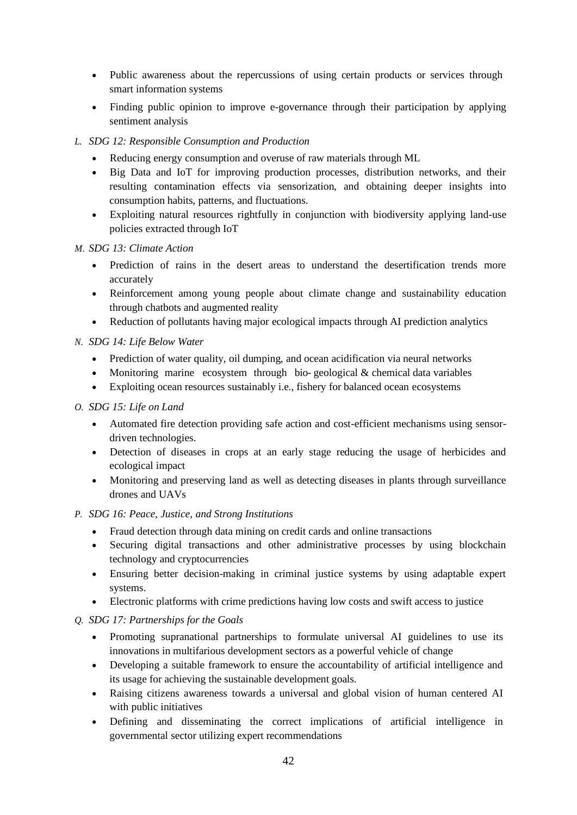- Public awareness about the repercussions of using certain products or services through smart information systems
- Finding public opinion to improve e-governance through their participation by applying sentiment analysis
- *L. SDG 12: Responsible Consumption and Production*
	- Reducing energy consumption and overuse of raw materials through ML
	- Big Data and IoT for improving production processes, distribution networks, and their resulting contamination effects via sensorization, and obtaining deeper insights into consumption habits, patterns, and fluctuations.
	- Exploiting natural resources rightfully in conjunction with biodiversity applying land-use policies extracted through IoT

*M. SDG 13: Climate Action*

- Prediction of rains in the desert areas to understand the desertification trends more accurately
- Reinforcement among young people about climate change and sustainability education through chatbots and augmented reality
- Reduction of pollutants having major ecological impacts through AI prediction analytics

# *N. SDG 14: Life Below Water*

- Prediction of water quality, oil dumping, and ocean acidification via neural networks
- Monitoring marine ecosystem through bio-geological & chemical data variables
- Exploiting ocean resources sustainably i.e., fishery for balanced ocean ecosystems

# *O. SDG 15: Life on Land*

- Automated fire detection providing safe action and cost-efficient mechanisms using sensordriven technologies.
- Detection of diseases in crops at an early stage reducing the usage of herbicides and ecological impact
- Monitoring and preserving land as well as detecting diseases in plants through surveillance drones and UAVs

# *P. SDG 16: Peace, Justice, and Strong Institutions*

- Fraud detection through data mining on credit cards and online transactions
- Securing digital transactions and other administrative processes by using blockchain technology and cryptocurrencies
- Ensuring better decision-making in criminal justice systems by using adaptable expert systems.
- Electronic platforms with crime predictions having low costs and swift access to justice

# *Q. SDG 17: Partnerships for the Goals*

- Promoting supranational partnerships to formulate universal AI guidelines to use its innovations in multifarious development sectors as a powerful vehicle of change
- Developing a suitable framework to ensure the accountability of artificial intelligence and its usage for achieving the sustainable development goals.
- Raising citizens awareness towards a universal and global vision of human centered AI with public initiatives
- Defining and disseminating the correct implications of artificial intelligence in governmental sector utilizing expert recommendations